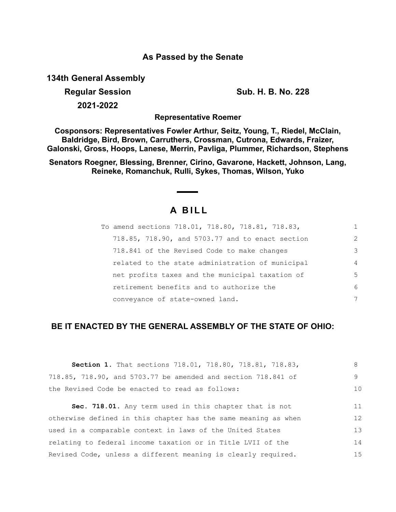## **As Passed by the Senate**

**134th General Assembly**

**2021-2022**

**Regular Session Sub. H. B. No. 228**

**Representative Roemer**

**Cosponsors: Representatives Fowler Arthur, Seitz, Young, T., Riedel, McClain, Baldridge, Bird, Brown, Carruthers, Crossman, Cutrona, Edwards, Fraizer, Galonski, Gross, Hoops, Lanese, Merrin, Pavliga, Plummer, Richardson, Stephens**

**Senators Roegner, Blessing, Brenner, Cirino, Gavarone, Hackett, Johnson, Lang, Reineke, Romanchuk, Rulli, Sykes, Thomas, Wilson, Yuko**

# **A B I L L**

| To amend sections 718.01, 718.80, 718.81, 718.83, |                |
|---------------------------------------------------|----------------|
| 718.85, 718.90, and 5703.77 and to enact section  | $\mathcal{L}$  |
| 718.841 of the Revised Code to make changes       | 3              |
| related to the state administration of municipal  | $\overline{4}$ |
| net profits taxes and the municipal taxation of   | 5              |
| retirement benefits and to authorize the          | 6              |
| conveyance of state-owned land.                   | 7              |

## **BE IT ENACTED BY THE GENERAL ASSEMBLY OF THE STATE OF OHIO:**

| Section 1. That sections 718.01, 718.80, 718.81, 718.83,       | 8  |
|----------------------------------------------------------------|----|
| 718.85, 718.90, and 5703.77 be amended and section 718.841 of  | 9  |
| the Revised Code be enacted to read as follows:                | 10 |
| Sec. 718.01. Any term used in this chapter that is not         | 11 |
| otherwise defined in this chapter has the same meaning as when | 12 |
|                                                                |    |
| used in a comparable context in laws of the United States      | 13 |
| relating to federal income taxation or in Title LVII of the    | 14 |
| Revised Code, unless a different meaning is clearly required.  | 15 |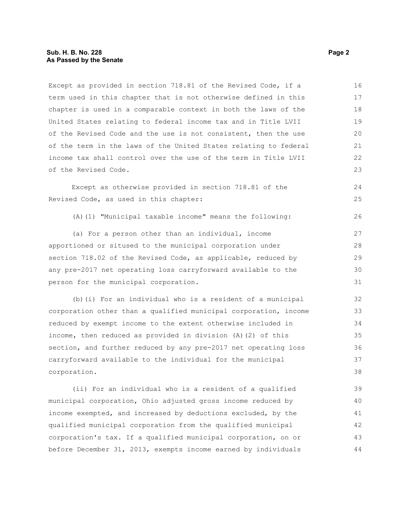#### **Sub. H. B. No. 228 Page 2 As Passed by the Senate**

Except as provided in section 718.81 of the Revised Code, if a term used in this chapter that is not otherwise defined in this chapter is used in a comparable context in both the laws of the United States relating to federal income tax and in Title LVII of the Revised Code and the use is not consistent, then the use of the term in the laws of the United States relating to federal income tax shall control over the use of the term in Title LVII of the Revised Code. 16 17 18 19  $20$ 21 22 23

Except as otherwise provided in section 718.81 of the Revised Code, as used in this chapter:

(A)(1) "Municipal taxable income" means the following:

(a) For a person other than an individual, income apportioned or sitused to the municipal corporation under section 718.02 of the Revised Code, as applicable, reduced by any pre-2017 net operating loss carryforward available to the person for the municipal corporation.

(b)(i) For an individual who is a resident of a municipal corporation other than a qualified municipal corporation, income reduced by exempt income to the extent otherwise included in income, then reduced as provided in division (A)(2) of this section, and further reduced by any pre-2017 net operating loss carryforward available to the individual for the municipal corporation. 32 33 34 35 36 37 38

(ii) For an individual who is a resident of a qualified municipal corporation, Ohio adjusted gross income reduced by income exempted, and increased by deductions excluded, by the qualified municipal corporation from the qualified municipal corporation's tax. If a qualified municipal corporation, on or before December 31, 2013, exempts income earned by individuals 39 40 41 42 43 44

 $24$ 25

26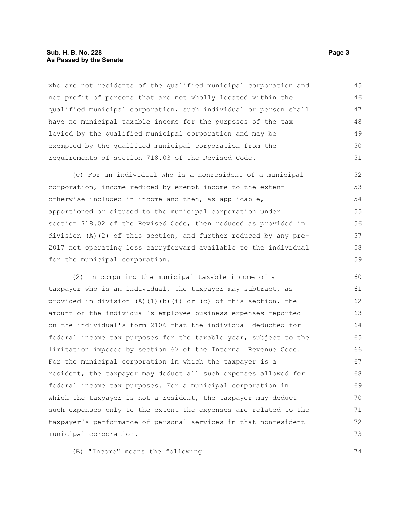#### **Sub. H. B. No. 228 Page 3 As Passed by the Senate**

who are not residents of the qualified municipal corporation and net profit of persons that are not wholly located within the qualified municipal corporation, such individual or person shall have no municipal taxable income for the purposes of the tax levied by the qualified municipal corporation and may be exempted by the qualified municipal corporation from the requirements of section 718.03 of the Revised Code. 45 46 47 48 49 50 51

(c) For an individual who is a nonresident of a municipal corporation, income reduced by exempt income to the extent otherwise included in income and then, as applicable, apportioned or sitused to the municipal corporation under section 718.02 of the Revised Code, then reduced as provided in division (A)(2) of this section, and further reduced by any pre-2017 net operating loss carryforward available to the individual for the municipal corporation. 52 53 54 55 56 57 58 59

(2) In computing the municipal taxable income of a taxpayer who is an individual, the taxpayer may subtract, as provided in division (A)(1)(b)(i) or (c) of this section, the amount of the individual's employee business expenses reported on the individual's form 2106 that the individual deducted for federal income tax purposes for the taxable year, subject to the limitation imposed by section 67 of the Internal Revenue Code. For the municipal corporation in which the taxpayer is a resident, the taxpayer may deduct all such expenses allowed for federal income tax purposes. For a municipal corporation in which the taxpayer is not a resident, the taxpayer may deduct such expenses only to the extent the expenses are related to the taxpayer's performance of personal services in that nonresident municipal corporation. 70

(B) "Income" means the following:

74

71 72 73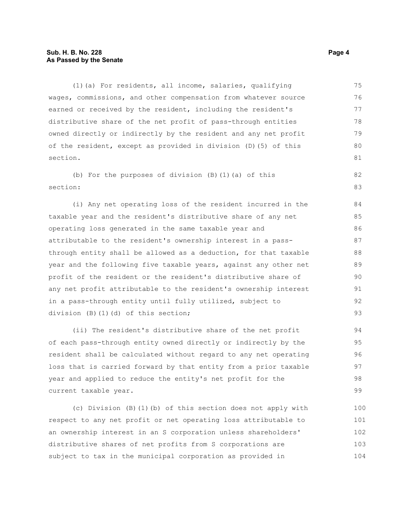#### **Sub. H. B. No. 228 Page 4 As Passed by the Senate**

(1)(a) For residents, all income, salaries, qualifying wages, commissions, and other compensation from whatever source earned or received by the resident, including the resident's distributive share of the net profit of pass-through entities owned directly or indirectly by the resident and any net profit of the resident, except as provided in division (D)(5) of this section. 75 76 77 78 79 80 81

(b) For the purposes of division (B)(1)(a) of this section: 82 83

(i) Any net operating loss of the resident incurred in the taxable year and the resident's distributive share of any net operating loss generated in the same taxable year and attributable to the resident's ownership interest in a passthrough entity shall be allowed as a deduction, for that taxable year and the following five taxable years, against any other net profit of the resident or the resident's distributive share of any net profit attributable to the resident's ownership interest in a pass-through entity until fully utilized, subject to division (B)(1)(d) of this section;

(ii) The resident's distributive share of the net profit of each pass-through entity owned directly or indirectly by the resident shall be calculated without regard to any net operating loss that is carried forward by that entity from a prior taxable year and applied to reduce the entity's net profit for the current taxable year.

(c) Division (B)(1)(b) of this section does not apply with respect to any net profit or net operating loss attributable to an ownership interest in an S corporation unless shareholders' distributive shares of net profits from S corporations are subject to tax in the municipal corporation as provided in 100 101 102 103 104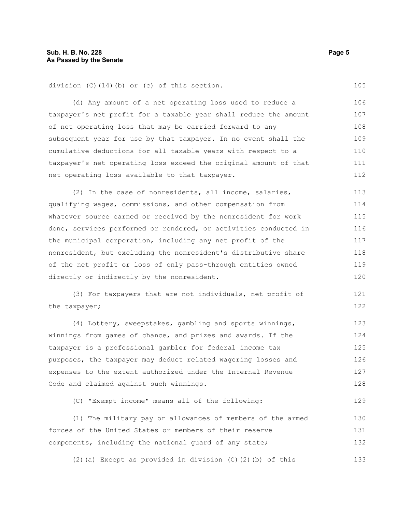division (C)(14)(b) or (c) of this section.

(d) Any amount of a net operating loss used to reduce a taxpayer's net profit for a taxable year shall reduce the amount of net operating loss that may be carried forward to any subsequent year for use by that taxpayer. In no event shall the cumulative deductions for all taxable years with respect to a taxpayer's net operating loss exceed the original amount of that net operating loss available to that taxpayer. 106 107 108 109 110 111 112

(2) In the case of nonresidents, all income, salaries, qualifying wages, commissions, and other compensation from whatever source earned or received by the nonresident for work done, services performed or rendered, or activities conducted in the municipal corporation, including any net profit of the nonresident, but excluding the nonresident's distributive share of the net profit or loss of only pass-through entities owned directly or indirectly by the nonresident. 113 114 115 116 117 118 119 120

(3) For taxpayers that are not individuals, net profit of the taxpayer; 121 122

(4) Lottery, sweepstakes, gambling and sports winnings, winnings from games of chance, and prizes and awards. If the taxpayer is a professional gambler for federal income tax purposes, the taxpayer may deduct related wagering losses and expenses to the extent authorized under the Internal Revenue Code and claimed against such winnings. 123 124 125 126 127 128

(C) "Exempt income" means all of the following:

(1) The military pay or allowances of members of the armed forces of the United States or members of their reserve components, including the national guard of any state; 130 131 132

(2)(a) Except as provided in division (C)(2)(b) of this 133

105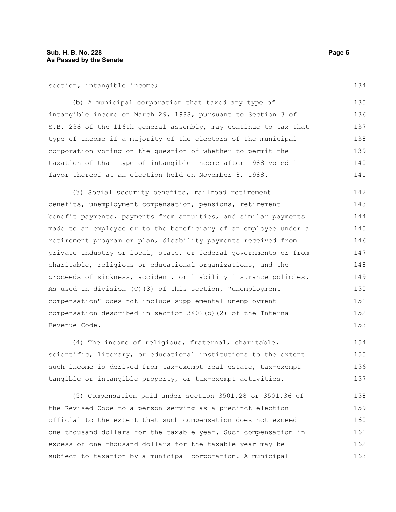section, intangible income;

(b) A municipal corporation that taxed any type of intangible income on March 29, 1988, pursuant to Section 3 of S.B. 238 of the 116th general assembly, may continue to tax that type of income if a majority of the electors of the municipal corporation voting on the question of whether to permit the taxation of that type of intangible income after 1988 voted in favor thereof at an election held on November 8, 1988. 135 136 137 138 139 140 141

(3) Social security benefits, railroad retirement benefits, unemployment compensation, pensions, retirement benefit payments, payments from annuities, and similar payments made to an employee or to the beneficiary of an employee under a retirement program or plan, disability payments received from private industry or local, state, or federal governments or from charitable, religious or educational organizations, and the proceeds of sickness, accident, or liability insurance policies. As used in division (C)(3) of this section, "unemployment compensation" does not include supplemental unemployment compensation described in section 3402(o)(2) of the Internal Revenue Code. 142 143 144 145 146 147 148 149 150 151 152 153

(4) The income of religious, fraternal, charitable, scientific, literary, or educational institutions to the extent such income is derived from tax-exempt real estate, tax-exempt tangible or intangible property, or tax-exempt activities. 154 155 156 157

(5) Compensation paid under section 3501.28 or 3501.36 of the Revised Code to a person serving as a precinct election official to the extent that such compensation does not exceed one thousand dollars for the taxable year. Such compensation in excess of one thousand dollars for the taxable year may be subject to taxation by a municipal corporation. A municipal 158 159 160 161 162 163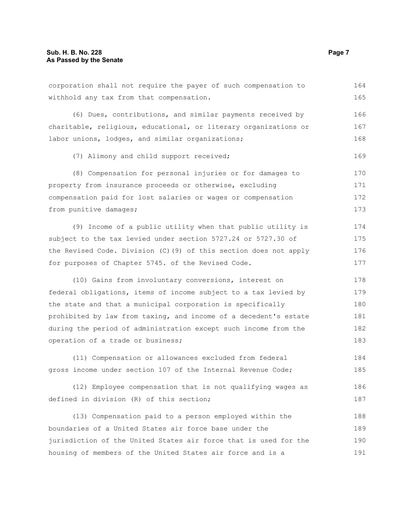| corporation shall not require the payer of such compensation to   | 164 |
|-------------------------------------------------------------------|-----|
| withhold any tax from that compensation.                          | 165 |
| (6) Dues, contributions, and similar payments received by         | 166 |
| charitable, religious, educational, or literary organizations or  | 167 |
| labor unions, lodges, and similar organizations;                  | 168 |
| (7) Alimony and child support received;                           | 169 |
| (8) Compensation for personal injuries or for damages to          | 170 |
| property from insurance proceeds or otherwise, excluding          | 171 |
| compensation paid for lost salaries or wages or compensation      | 172 |
| from punitive damages;                                            | 173 |
| (9) Income of a public utility when that public utility is        | 174 |
| subject to the tax levied under section 5727.24 or 5727.30 of     | 175 |
| the Revised Code. Division (C) (9) of this section does not apply | 176 |
| for purposes of Chapter 5745. of the Revised Code.                | 177 |
| (10) Gains from involuntary conversions, interest on              | 178 |
| federal obligations, items of income subject to a tax levied by   | 179 |
| the state and that a municipal corporation is specifically        | 180 |
| prohibited by law from taxing, and income of a decedent's estate  | 181 |
| during the period of administration except such income from the   | 182 |
| operation of a trade or business;                                 | 183 |
| (11) Compensation or allowances excluded from federal             | 184 |
| gross income under section 107 of the Internal Revenue Code;      | 185 |
| (12) Employee compensation that is not qualifying wages as        | 186 |
| defined in division (R) of this section;                          | 187 |
| (13) Compensation paid to a person employed within the            | 188 |
| boundaries of a United States air force base under the            | 189 |
| jurisdiction of the United States air force that is used for the  | 190 |
| housing of members of the United States air force and is a        | 191 |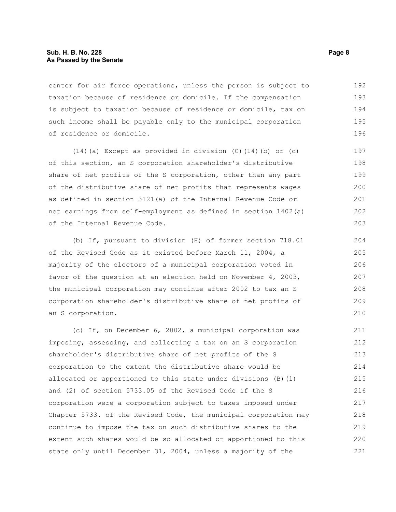#### **Sub. H. B. No. 228 Page 8 As Passed by the Senate**

center for air force operations, unless the person is subject to taxation because of residence or domicile. If the compensation is subject to taxation because of residence or domicile, tax on such income shall be payable only to the municipal corporation of residence or domicile. 192 193 194 195 196

(14)(a) Except as provided in division (C)(14)(b) or (c) of this section, an S corporation shareholder's distributive share of net profits of the S corporation, other than any part of the distributive share of net profits that represents wages as defined in section 3121(a) of the Internal Revenue Code or net earnings from self-employment as defined in section 1402(a) of the Internal Revenue Code. 199

(b) If, pursuant to division (H) of former section 718.01 of the Revised Code as it existed before March 11, 2004, a majority of the electors of a municipal corporation voted in favor of the question at an election held on November 4, 2003, the municipal corporation may continue after 2002 to tax an S corporation shareholder's distributive share of net profits of an S corporation.

(c) If, on December 6, 2002, a municipal corporation was imposing, assessing, and collecting a tax on an S corporation shareholder's distributive share of net profits of the S corporation to the extent the distributive share would be allocated or apportioned to this state under divisions (B)(1) and (2) of section 5733.05 of the Revised Code if the S corporation were a corporation subject to taxes imposed under Chapter 5733. of the Revised Code, the municipal corporation may continue to impose the tax on such distributive shares to the extent such shares would be so allocated or apportioned to this state only until December 31, 2004, unless a majority of the 211 212 213 214 215 216 217 218 219 220 221

197 198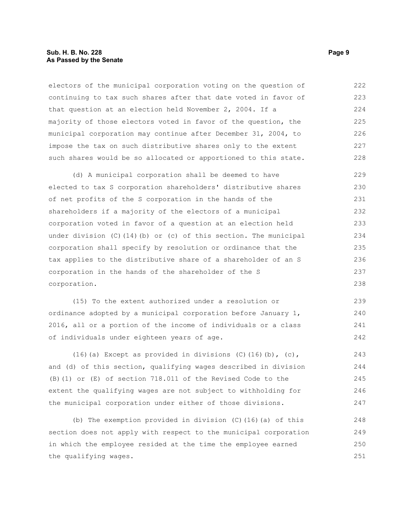#### **Sub. H. B. No. 228 Page 9 As Passed by the Senate**

electors of the municipal corporation voting on the question of continuing to tax such shares after that date voted in favor of that question at an election held November 2, 2004. If a majority of those electors voted in favor of the question, the municipal corporation may continue after December 31, 2004, to impose the tax on such distributive shares only to the extent such shares would be so allocated or apportioned to this state. 222 223 224 225 226 227 228

(d) A municipal corporation shall be deemed to have elected to tax S corporation shareholders' distributive shares of net profits of the S corporation in the hands of the shareholders if a majority of the electors of a municipal corporation voted in favor of a question at an election held under division  $(C)$  (14)(b) or (c) of this section. The municipal corporation shall specify by resolution or ordinance that the tax applies to the distributive share of a shareholder of an S corporation in the hands of the shareholder of the S corporation. 229 230 231 232 233 234 235 236 237 238

(15) To the extent authorized under a resolution or ordinance adopted by a municipal corporation before January 1, 2016, all or a portion of the income of individuals or a class of individuals under eighteen years of age. 239 240 241 242

(16)(a) Except as provided in divisions  $(C)$  (16)(b),  $(c)$ , and (d) of this section, qualifying wages described in division (B)(1) or (E) of section 718.011 of the Revised Code to the extent the qualifying wages are not subject to withholding for the municipal corporation under either of those divisions.

(b) The exemption provided in division (C)(16)(a) of this section does not apply with respect to the municipal corporation in which the employee resided at the time the employee earned the qualifying wages. 248 249 250 251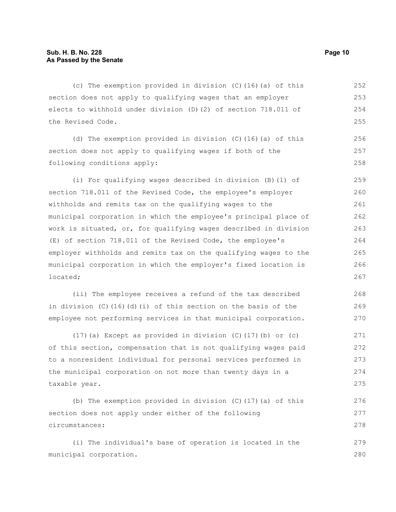(c) The exemption provided in division (C)(16)(a) of this section does not apply to qualifying wages that an employer elects to withhold under division (D)(2) of section 718.011 of the Revised Code. 252 253 254 255

(d) The exemption provided in division (C)(16)(a) of this section does not apply to qualifying wages if both of the following conditions apply: 256 257 258

(i) For qualifying wages described in division (B)(1) of section 718.011 of the Revised Code, the employee's employer withholds and remits tax on the qualifying wages to the municipal corporation in which the employee's principal place of work is situated, or, for qualifying wages described in division (E) of section 718.011 of the Revised Code, the employee's employer withholds and remits tax on the qualifying wages to the municipal corporation in which the employer's fixed location is located; 259 260 261 262 263 264 265 266 267

(ii) The employee receives a refund of the tax described in division (C)(16)(d)(i) of this section on the basis of the employee not performing services in that municipal corporation.

(17)(a) Except as provided in division (C)(17)(b) or (c) of this section, compensation that is not qualifying wages paid to a nonresident individual for personal services performed in the municipal corporation on not more than twenty days in a taxable year. 271 272 273 274 275

(b) The exemption provided in division  $(C)$  (17)(a) of this section does not apply under either of the following circumstances: 276 277 278

(i) The individual's base of operation is located in the municipal corporation. 279 280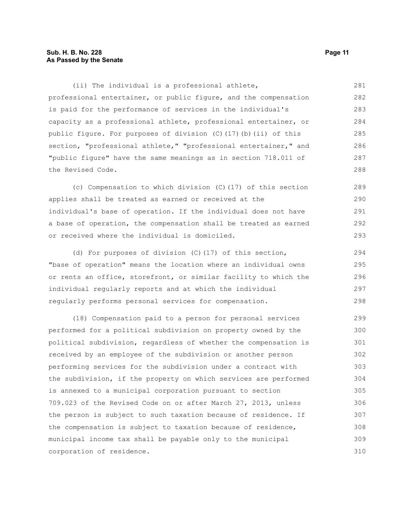#### **Sub. H. B. No. 228 Page 11 As Passed by the Senate**

(ii) The individual is a professional athlete, professional entertainer, or public figure, and the compensation is paid for the performance of services in the individual's capacity as a professional athlete, professional entertainer, or public figure. For purposes of division (C)(17)(b)(ii) of this section, "professional athlete," "professional entertainer," and "public figure" have the same meanings as in section 718.011 of the Revised Code. 281 282 283 284 285 286 287 288

(c) Compensation to which division (C)(17) of this section applies shall be treated as earned or received at the individual's base of operation. If the individual does not have a base of operation, the compensation shall be treated as earned or received where the individual is domiciled. 289 290 291 292 293

(d) For purposes of division (C)(17) of this section, "base of operation" means the location where an individual owns or rents an office, storefront, or similar facility to which the individual regularly reports and at which the individual regularly performs personal services for compensation. 294 295 296 297 298

(18) Compensation paid to a person for personal services performed for a political subdivision on property owned by the political subdivision, regardless of whether the compensation is received by an employee of the subdivision or another person performing services for the subdivision under a contract with the subdivision, if the property on which services are performed is annexed to a municipal corporation pursuant to section 709.023 of the Revised Code on or after March 27, 2013, unless the person is subject to such taxation because of residence. If the compensation is subject to taxation because of residence, municipal income tax shall be payable only to the municipal corporation of residence. 299 300 301 302 303 304 305 306 307 308 309 310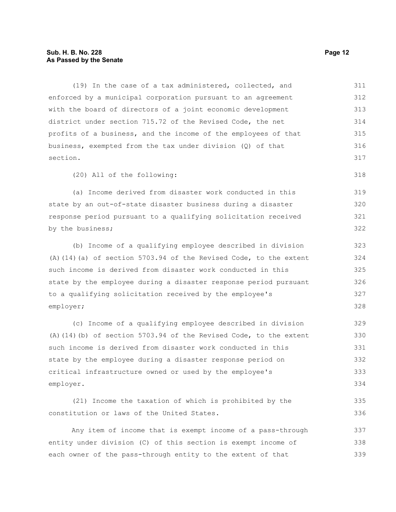#### **Sub. H. B. No. 228 Page 12 As Passed by the Senate**

(19) In the case of a tax administered, collected, and enforced by a municipal corporation pursuant to an agreement with the board of directors of a joint economic development district under section 715.72 of the Revised Code, the net profits of a business, and the income of the employees of that business, exempted from the tax under division (Q) of that section. (20) All of the following: (a) Income derived from disaster work conducted in this state by an out-of-state disaster business during a disaster response period pursuant to a qualifying solicitation received by the business; (b) Income of a qualifying employee described in division (A)(14)(a) of section 5703.94 of the Revised Code, to the extent such income is derived from disaster work conducted in this state by the employee during a disaster response period pursuant to a qualifying solicitation received by the employee's employer; (c) Income of a qualifying employee described in division (A)(14)(b) of section 5703.94 of the Revised Code, to the extent such income is derived from disaster work conducted in this state by the employee during a disaster response period on critical infrastructure owned or used by the employee's employer. (21) Income the taxation of which is prohibited by the constitution or laws of the United States. Any item of income that is exempt income of a pass-through entity under division (C) of this section is exempt income of 311 312 313 314 315 316 317 318 319 320 321 322 323 324 325 326 327 328 329 330 331 332 333 334 335 336 337 338

each owner of the pass-through entity to the extent of that 339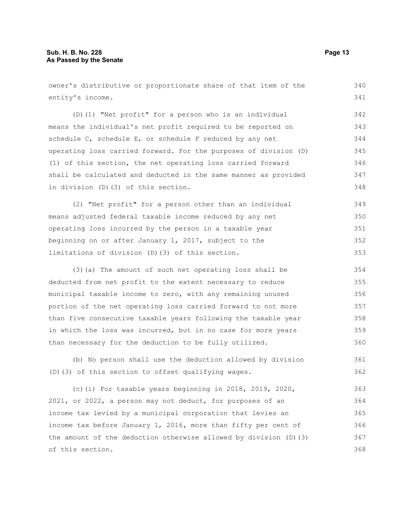entity's income. (D)(1) "Net profit" for a person who is an individual means the individual's net profit required to be reported on schedule C, schedule E, or schedule F reduced by any net operating loss carried forward. For the purposes of division (D) (1) of this section, the net operating loss carried forward shall be calculated and deducted in the same manner as provided in division (D)(3) of this section. (2) "Net profit" for a person other than an individual means adjusted federal taxable income reduced by any net operating loss incurred by the person in a taxable year beginning on or after January 1, 2017, subject to the limitations of division (D)(3) of this section. (3)(a) The amount of such net operating loss shall be deducted from net profit to the extent necessary to reduce municipal taxable income to zero, with any remaining unused portion of the net operating loss carried forward to not more than five consecutive taxable years following the taxable year in which the loss was incurred, but in no case for more years than necessary for the deduction to be fully utilized. (b) No person shall use the deduction allowed by division 341 342 343 344 345 346 347 348 349 350 351 352 353 354 355 356 357 358 359 360 361

owner's distributive or proportionate share of that item of the

(D)(3) of this section to offset qualifying wages. 362

(c)(i) For taxable years beginning in 2018, 2019, 2020, 2021, or 2022, a person may not deduct, for purposes of an income tax levied by a municipal corporation that levies an income tax before January 1, 2016, more than fifty per cent of the amount of the deduction otherwise allowed by division (D)(3) of this section. 363 364 365 366 367 368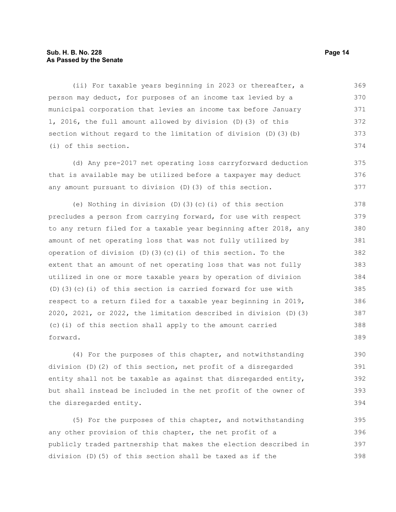#### **Sub. H. B. No. 228 Page 14 As Passed by the Senate**

(ii) For taxable years beginning in 2023 or thereafter, a person may deduct, for purposes of an income tax levied by a municipal corporation that levies an income tax before January 1, 2016, the full amount allowed by division (D)(3) of this section without regard to the limitation of division (D)(3)(b) (i) of this section. 369 370 371 372 373 374

(d) Any pre-2017 net operating loss carryforward deduction that is available may be utilized before a taxpayer may deduct any amount pursuant to division (D)(3) of this section.

(e) Nothing in division (D)(3)(c)(i) of this section precludes a person from carrying forward, for use with respect to any return filed for a taxable year beginning after 2018, any amount of net operating loss that was not fully utilized by operation of division (D)(3)(c)(i) of this section. To the extent that an amount of net operating loss that was not fully utilized in one or more taxable years by operation of division (D)(3)(c)(i) of this section is carried forward for use with respect to a return filed for a taxable year beginning in 2019, 2020, 2021, or 2022, the limitation described in division (D)(3) (c)(i) of this section shall apply to the amount carried forward. 378 379 380 381 382 383 384 385 386 387 388 389

(4) For the purposes of this chapter, and notwithstanding division (D)(2) of this section, net profit of a disregarded entity shall not be taxable as against that disregarded entity, but shall instead be included in the net profit of the owner of the disregarded entity.

(5) For the purposes of this chapter, and notwithstanding any other provision of this chapter, the net profit of a publicly traded partnership that makes the election described in division (D)(5) of this section shall be taxed as if the 395 396 397 398

375 376 377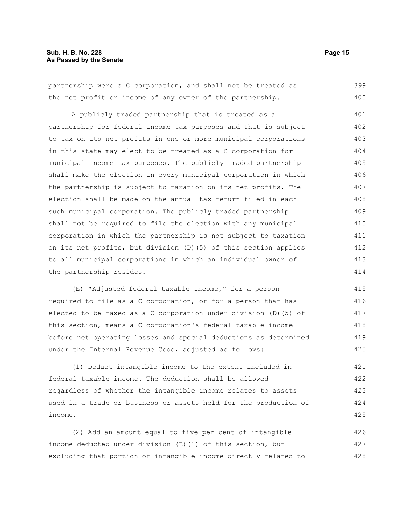#### **Sub. H. B. No. 228 Page 15 As Passed by the Senate**

partnership were a C corporation, and shall not be treated as the net profit or income of any owner of the partnership. 399 400

A publicly traded partnership that is treated as a partnership for federal income tax purposes and that is subject to tax on its net profits in one or more municipal corporations in this state may elect to be treated as a C corporation for municipal income tax purposes. The publicly traded partnership shall make the election in every municipal corporation in which the partnership is subject to taxation on its net profits. The election shall be made on the annual tax return filed in each such municipal corporation. The publicly traded partnership shall not be required to file the election with any municipal corporation in which the partnership is not subject to taxation on its net profits, but division (D)(5) of this section applies to all municipal corporations in which an individual owner of the partnership resides. 401 402 403 404 405 406 407 408 409 410 411 412 413 414

(E) "Adjusted federal taxable income," for a person required to file as a C corporation, or for a person that has elected to be taxed as a C corporation under division (D)(5) of this section, means a C corporation's federal taxable income before net operating losses and special deductions as determined under the Internal Revenue Code, adjusted as follows: 415 416 417 418 419 420

(1) Deduct intangible income to the extent included in federal taxable income. The deduction shall be allowed regardless of whether the intangible income relates to assets used in a trade or business or assets held for the production of income. 421 422 423 424 425

(2) Add an amount equal to five per cent of intangible income deducted under division (E)(1) of this section, but excluding that portion of intangible income directly related to 426 427 428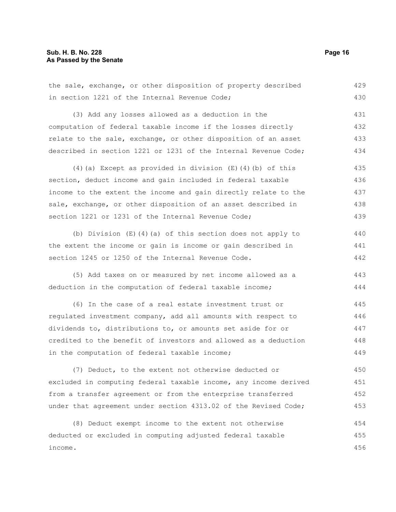the sale, exchange, or other disposition of property described in section 1221 of the Internal Revenue Code; 429 430

(3) Add any losses allowed as a deduction in the computation of federal taxable income if the losses directly relate to the sale, exchange, or other disposition of an asset described in section 1221 or 1231 of the Internal Revenue Code; 431 432 433 434

(4)(a) Except as provided in division (E)(4)(b) of this section, deduct income and gain included in federal taxable income to the extent the income and gain directly relate to the sale, exchange, or other disposition of an asset described in section 1221 or 1231 of the Internal Revenue Code; 435 436 437 438 439

(b) Division (E)(4)(a) of this section does not apply to the extent the income or gain is income or gain described in section 1245 or 1250 of the Internal Revenue Code. 440 441 442

(5) Add taxes on or measured by net income allowed as a deduction in the computation of federal taxable income; 443 444

(6) In the case of a real estate investment trust or regulated investment company, add all amounts with respect to dividends to, distributions to, or amounts set aside for or credited to the benefit of investors and allowed as a deduction in the computation of federal taxable income; 445 446 447 448 449

(7) Deduct, to the extent not otherwise deducted or excluded in computing federal taxable income, any income derived from a transfer agreement or from the enterprise transferred under that agreement under section 4313.02 of the Revised Code; 450 451 452 453

(8) Deduct exempt income to the extent not otherwise deducted or excluded in computing adjusted federal taxable income. 454 455 456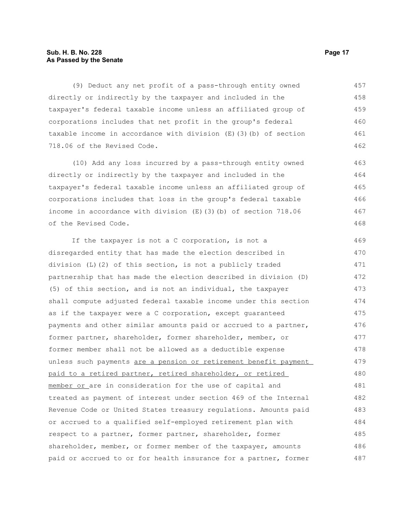#### **Sub. H. B. No. 228 Page 17 As Passed by the Senate**

(9) Deduct any net profit of a pass-through entity owned directly or indirectly by the taxpayer and included in the taxpayer's federal taxable income unless an affiliated group of corporations includes that net profit in the group's federal taxable income in accordance with division (E)(3)(b) of section 718.06 of the Revised Code. 457 458 459 460 461 462

(10) Add any loss incurred by a pass-through entity owned directly or indirectly by the taxpayer and included in the taxpayer's federal taxable income unless an affiliated group of corporations includes that loss in the group's federal taxable income in accordance with division (E)(3)(b) of section 718.06 of the Revised Code.

If the taxpayer is not a C corporation, is not a disregarded entity that has made the election described in division (L)(2) of this section, is not a publicly traded partnership that has made the election described in division (D) (5) of this section, and is not an individual, the taxpayer shall compute adjusted federal taxable income under this section as if the taxpayer were a C corporation, except guaranteed payments and other similar amounts paid or accrued to a partner, former partner, shareholder, former shareholder, member, or former member shall not be allowed as a deductible expense unless such payments are a pension or retirement benefit payment paid to a retired partner, retired shareholder, or retired member or are in consideration for the use of capital and treated as payment of interest under section 469 of the Internal Revenue Code or United States treasury regulations. Amounts paid or accrued to a qualified self-employed retirement plan with respect to a partner, former partner, shareholder, former shareholder, member, or former member of the taxpayer, amounts paid or accrued to or for health insurance for a partner, former 469 470 471 472 473 474 475 476 477 478 479 480 481 482 483 484 485 486 487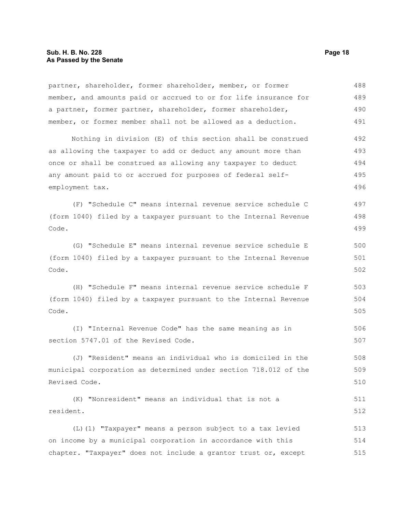#### **Sub. H. B. No. 228 Page 18 As Passed by the Senate**

Code.

partner, shareholder, former shareholder, member, or former member, and amounts paid or accrued to or for life insurance for a partner, former partner, shareholder, former shareholder, member, or former member shall not be allowed as a deduction. Nothing in division (E) of this section shall be construed as allowing the taxpayer to add or deduct any amount more than once or shall be construed as allowing any taxpayer to deduct any amount paid to or accrued for purposes of federal selfemployment tax. (F) "Schedule C" means internal revenue service schedule C (form 1040) filed by a taxpayer pursuant to the Internal Revenue Code. (G) "Schedule E" means internal revenue service schedule E (form 1040) filed by a taxpayer pursuant to the Internal Revenue 488 489 490 491 492 493 494 495 496 497 498 499 500 501

(H) "Schedule F" means internal revenue service schedule F (form 1040) filed by a taxpayer pursuant to the Internal Revenue Code. 503 504 505

(I) "Internal Revenue Code" has the same meaning as in section 5747.01 of the Revised Code. 506 507

(J) "Resident" means an individual who is domiciled in the municipal corporation as determined under section 718.012 of the Revised Code. 508 509 510

(K) "Nonresident" means an individual that is not a resident. 511 512

(L)(1) "Taxpayer" means a person subject to a tax levied on income by a municipal corporation in accordance with this chapter. "Taxpayer" does not include a grantor trust or, except 513 514 515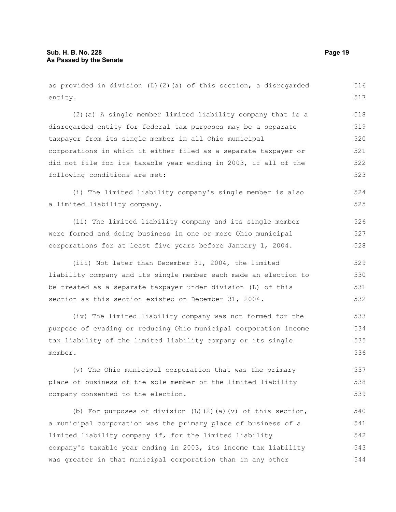as provided in division (L)(2)(a) of this section, a disregarded entity. (2)(a) A single member limited liability company that is a disregarded entity for federal tax purposes may be a separate taxpayer from its single member in all Ohio municipal corporations in which it either filed as a separate taxpayer or did not file for its taxable year ending in 2003, if all of the following conditions are met: (i) The limited liability company's single member is also a limited liability company. (ii) The limited liability company and its single member were formed and doing business in one or more Ohio municipal corporations for at least five years before January 1, 2004. (iii) Not later than December 31, 2004, the limited liability company and its single member each made an election to be treated as a separate taxpayer under division (L) of this section as this section existed on December 31, 2004. (iv) The limited liability company was not formed for the purpose of evading or reducing Ohio municipal corporation income tax liability of the limited liability company or its single member. (v) The Ohio municipal corporation that was the primary place of business of the sole member of the limited liability company consented to the election. (b) For purposes of division  $(L)$   $(2)$   $(a)$   $(v)$  of this section, a municipal corporation was the primary place of business of a limited liability company if, for the limited liability company's taxable year ending in 2003, its income tax liability was greater in that municipal corporation than in any other 516 517 518 519 520 521 522 523 524 525 526 527 528 529 530 531 532 533 534 535 536 537 538 539 540 541 542 543 544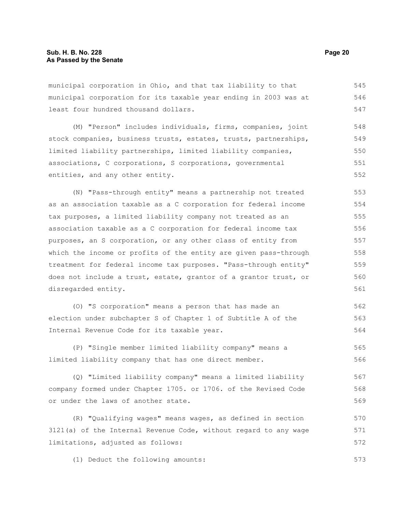municipal corporation in Ohio, and that tax liability to that municipal corporation for its taxable year ending in 2003 was at least four hundred thousand dollars. 545 546 547

(M) "Person" includes individuals, firms, companies, joint stock companies, business trusts, estates, trusts, partnerships, limited liability partnerships, limited liability companies, associations, C corporations, S corporations, governmental entities, and any other entity. 548 549 550 551 552

(N) "Pass-through entity" means a partnership not treated as an association taxable as a C corporation for federal income tax purposes, a limited liability company not treated as an association taxable as a C corporation for federal income tax purposes, an S corporation, or any other class of entity from which the income or profits of the entity are given pass-through treatment for federal income tax purposes. "Pass-through entity" does not include a trust, estate, grantor of a grantor trust, or disregarded entity. 553 554 555 556 557 558 559 560 561

(O) "S corporation" means a person that has made an election under subchapter S of Chapter 1 of Subtitle A of the Internal Revenue Code for its taxable year. 562 563 564

(P) "Single member limited liability company" means a limited liability company that has one direct member. 565 566

(Q) "Limited liability company" means a limited liability company formed under Chapter 1705. or 1706. of the Revised Code or under the laws of another state. 567 568 569

(R) "Qualifying wages" means wages, as defined in section 3121(a) of the Internal Revenue Code, without regard to any wage limitations, adjusted as follows: 570 571 572

(1) Deduct the following amounts: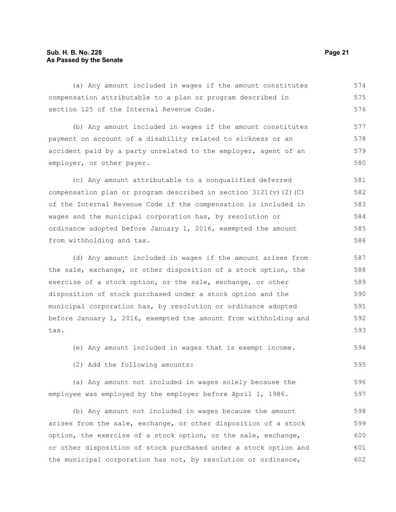#### **Sub. H. B. No. 228 Page 21 As Passed by the Senate**

(a) Any amount included in wages if the amount constitutes compensation attributable to a plan or program described in section 125 of the Internal Revenue Code. 574 575 576

(b) Any amount included in wages if the amount constitutes payment on account of a disability related to sickness or an accident paid by a party unrelated to the employer, agent of an employer, or other payer. 577 578 579 580

(c) Any amount attributable to a nonqualified deferred compensation plan or program described in section  $3121(v)(2)(C)$ of the Internal Revenue Code if the compensation is included in wages and the municipal corporation has, by resolution or ordinance adopted before January 1, 2016, exempted the amount from withholding and tax. 581 582 583 584 585 586

(d) Any amount included in wages if the amount arises from the sale, exchange, or other disposition of a stock option, the exercise of a stock option, or the sale, exchange, or other disposition of stock purchased under a stock option and the municipal corporation has, by resolution or ordinance adopted before January 1, 2016, exempted the amount from withholding and tax. 587 588 589 590 591 592 593

(e) Any amount included in wages that is exempt income. 594

(2) Add the following amounts:

(a) Any amount not included in wages solely because the employee was employed by the employer before April 1, 1986. 596 597

(b) Any amount not included in wages because the amount arises from the sale, exchange, or other disposition of a stock option, the exercise of a stock option, or the sale, exchange, or other disposition of stock purchased under a stock option and the municipal corporation has not, by resolution or ordinance, 598 599 600 601 602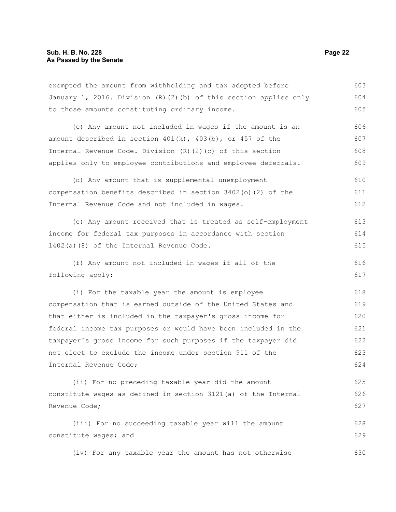exempted the amount from withholding and tax adopted before January 1, 2016. Division (R)(2)(b) of this section applies only to those amounts constituting ordinary income. 603 604 605

(c) Any amount not included in wages if the amount is an amount described in section  $401(k)$ ,  $403(b)$ , or  $457$  of the Internal Revenue Code. Division (R)(2)(c) of this section applies only to employee contributions and employee deferrals. 606 607 608 609

(d) Any amount that is supplemental unemployment compensation benefits described in section 3402(o)(2) of the Internal Revenue Code and not included in wages. 610 611 612

(e) Any amount received that is treated as self-employment income for federal tax purposes in accordance with section 1402(a)(8) of the Internal Revenue Code. 613 614 615

(f) Any amount not included in wages if all of the following apply: 616 617

(i) For the taxable year the amount is employee compensation that is earned outside of the United States and that either is included in the taxpayer's gross income for federal income tax purposes or would have been included in the taxpayer's gross income for such purposes if the taxpayer did not elect to exclude the income under section 911 of the Internal Revenue Code; 618 619 620 621 622 623 624

(ii) For no preceding taxable year did the amount constitute wages as defined in section 3121(a) of the Internal Revenue Code; 625 626 627

(iii) For no succeeding taxable year will the amount constitute wages; and 628 629

(iv) For any taxable year the amount has not otherwise 630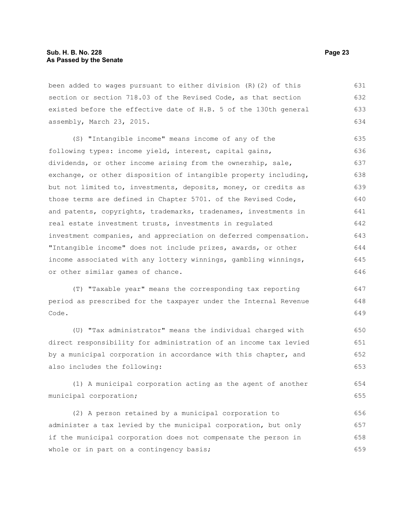been added to wages pursuant to either division (R)(2) of this section or section 718.03 of the Revised Code, as that section existed before the effective date of H.B. 5 of the 130th general assembly, March 23, 2015. 631 632 633 634

(S) "Intangible income" means income of any of the following types: income yield, interest, capital gains, dividends, or other income arising from the ownership, sale, exchange, or other disposition of intangible property including, but not limited to, investments, deposits, money, or credits as those terms are defined in Chapter 5701. of the Revised Code, and patents, copyrights, trademarks, tradenames, investments in real estate investment trusts, investments in regulated investment companies, and appreciation on deferred compensation. "Intangible income" does not include prizes, awards, or other income associated with any lottery winnings, gambling winnings, or other similar games of chance. 635 636 637 638 639 640 641 642 643 644 645 646

(T) "Taxable year" means the corresponding tax reporting period as prescribed for the taxpayer under the Internal Revenue Code.

(U) "Tax administrator" means the individual charged with direct responsibility for administration of an income tax levied by a municipal corporation in accordance with this chapter, and also includes the following: 650 651 652 653

(1) A municipal corporation acting as the agent of another municipal corporation;

(2) A person retained by a municipal corporation to administer a tax levied by the municipal corporation, but only if the municipal corporation does not compensate the person in whole or in part on a contingency basis; 656 657 658 659

647 648 649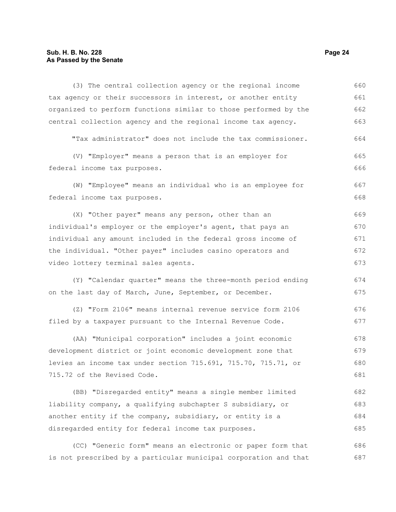#### **Sub. H. B. No. 228 Page 24 As Passed by the Senate**

715.72 of the Revised Code.

(3) The central collection agency or the regional income tax agency or their successors in interest, or another entity organized to perform functions similar to those performed by the central collection agency and the regional income tax agency. "Tax administrator" does not include the tax commissioner. (V) "Employer" means a person that is an employer for federal income tax purposes. (W) "Employee" means an individual who is an employee for federal income tax purposes. (X) "Other payer" means any person, other than an individual's employer or the employer's agent, that pays an individual any amount included in the federal gross income of the individual. "Other payer" includes casino operators and video lottery terminal sales agents. (Y) "Calendar quarter" means the three-month period ending on the last day of March, June, September, or December. (Z) "Form 2106" means internal revenue service form 2106 filed by a taxpayer pursuant to the Internal Revenue Code. (AA) "Municipal corporation" includes a joint economic development district or joint economic development zone that levies an income tax under section 715.691, 715.70, 715.71, or 660 661 662 663 664 665 666 667 668 669 670 671 672 673 674 675 676 677 678 679 680

(BB) "Disregarded entity" means a single member limited liability company, a qualifying subchapter S subsidiary, or another entity if the company, subsidiary, or entity is a disregarded entity for federal income tax purposes. 682 683 684 685

(CC) "Generic form" means an electronic or paper form that is not prescribed by a particular municipal corporation and that 686 687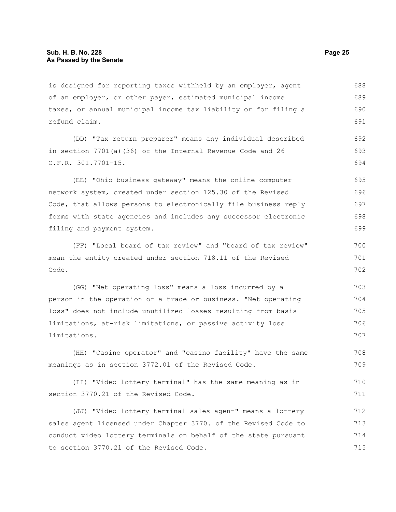is designed for reporting taxes withheld by an employer, agent of an employer, or other payer, estimated municipal income taxes, or annual municipal income tax liability or for filing a refund claim. 688 689 690 691

(DD) "Tax return preparer" means any individual described in section 7701(a)(36) of the Internal Revenue Code and 26 C.F.R. 301.7701-15. 692 693 694

(EE) "Ohio business gateway" means the online computer network system, created under section 125.30 of the Revised Code, that allows persons to electronically file business reply forms with state agencies and includes any successor electronic filing and payment system. 695 696 697 698 699

(FF) "Local board of tax review" and "board of tax review" mean the entity created under section 718.11 of the Revised Code.

(GG) "Net operating loss" means a loss incurred by a person in the operation of a trade or business. "Net operating loss" does not include unutilized losses resulting from basis limitations, at-risk limitations, or passive activity loss limitations. 703 704 705 706 707

(HH) "Casino operator" and "casino facility" have the same meanings as in section 3772.01 of the Revised Code. 708 709

(II) "Video lottery terminal" has the same meaning as in section 3770.21 of the Revised Code. 710 711

(JJ) "Video lottery terminal sales agent" means a lottery sales agent licensed under Chapter 3770. of the Revised Code to conduct video lottery terminals on behalf of the state pursuant to section 3770.21 of the Revised Code. 712 713 714 715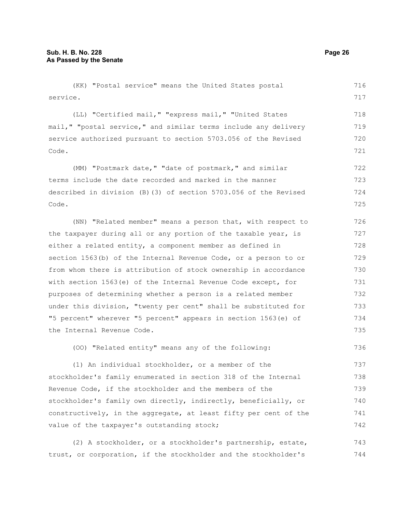(KK) "Postal service" means the United States postal service. (LL) "Certified mail," "express mail," "United States mail," "postal service," and similar terms include any delivery service authorized pursuant to section 5703.056 of the Revised Code. (MM) "Postmark date," "date of postmark," and similar terms include the date recorded and marked in the manner described in division (B)(3) of section 5703.056 of the Revised Code. (NN) "Related member" means a person that, with respect to the taxpayer during all or any portion of the taxable year, is either a related entity, a component member as defined in section 1563(b) of the Internal Revenue Code, or a person to or from whom there is attribution of stock ownership in accordance with section 1563(e) of the Internal Revenue Code except, for purposes of determining whether a person is a related member under this division, "twenty per cent" shall be substituted for "5 percent" wherever "5 percent" appears in section 1563(e) of the Internal Revenue Code. (OO) "Related entity" means any of the following: 716 717 718 719 720 721 722 723 724 725 726 727 728 729 730 731 732 733 734 735 736

(1) An individual stockholder, or a member of the stockholder's family enumerated in section 318 of the Internal Revenue Code, if the stockholder and the members of the stockholder's family own directly, indirectly, beneficially, or constructively, in the aggregate, at least fifty per cent of the value of the taxpayer's outstanding stock; 737 738 739 740 741 742

(2) A stockholder, or a stockholder's partnership, estate, trust, or corporation, if the stockholder and the stockholder's 743 744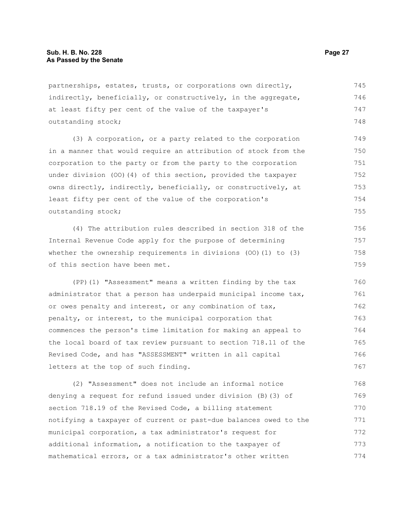partnerships, estates, trusts, or corporations own directly, indirectly, beneficially, or constructively, in the aggregate, at least fifty per cent of the value of the taxpayer's outstanding stock; 745 746 747 748

(3) A corporation, or a party related to the corporation in a manner that would require an attribution of stock from the corporation to the party or from the party to the corporation under division (OO)(4) of this section, provided the taxpayer owns directly, indirectly, beneficially, or constructively, at least fifty per cent of the value of the corporation's outstanding stock; 749 750 751 752 753 754 755

(4) The attribution rules described in section 318 of the Internal Revenue Code apply for the purpose of determining whether the ownership requirements in divisions (OO)(1) to (3) of this section have been met.

(PP)(1) "Assessment" means a written finding by the tax administrator that a person has underpaid municipal income tax, or owes penalty and interest, or any combination of tax, penalty, or interest, to the municipal corporation that commences the person's time limitation for making an appeal to the local board of tax review pursuant to section 718.11 of the Revised Code, and has "ASSESSMENT" written in all capital letters at the top of such finding. 760 761 762 763 764 765 766 767

(2) "Assessment" does not include an informal notice denying a request for refund issued under division (B)(3) of section 718.19 of the Revised Code, a billing statement notifying a taxpayer of current or past-due balances owed to the municipal corporation, a tax administrator's request for additional information, a notification to the taxpayer of mathematical errors, or a tax administrator's other written 768 769 770 771 772 773 774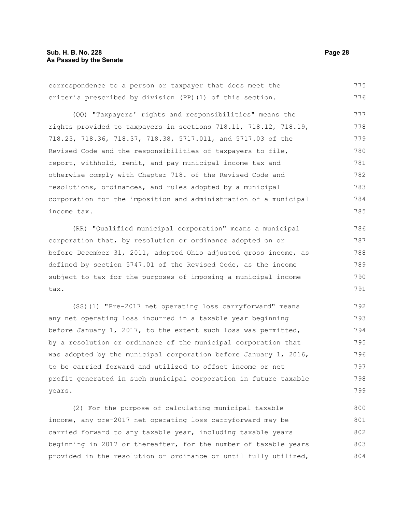correspondence to a person or taxpayer that does meet the criteria prescribed by division (PP)(1) of this section. (QQ) "Taxpayers' rights and responsibilities" means the rights provided to taxpayers in sections 718.11, 718.12, 718.19, 718.23, 718.36, 718.37, 718.38, 5717.011, and 5717.03 of the Revised Code and the responsibilities of taxpayers to file, report, withhold, remit, and pay municipal income tax and otherwise comply with Chapter 718. of the Revised Code and resolutions, ordinances, and rules adopted by a municipal corporation for the imposition and administration of a municipal income tax. (RR) "Qualified municipal corporation" means a municipal corporation that, by resolution or ordinance adopted on or before December 31, 2011, adopted Ohio adjusted gross income, as defined by section 5747.01 of the Revised Code, as the income subject to tax for the purposes of imposing a municipal income tax. 775 776 777 778 779 780 781 782 783 784 785 786 787 788 789 790 791

(SS)(1) "Pre-2017 net operating loss carryforward" means any net operating loss incurred in a taxable year beginning before January 1, 2017, to the extent such loss was permitted, by a resolution or ordinance of the municipal corporation that was adopted by the municipal corporation before January 1, 2016, to be carried forward and utilized to offset income or net profit generated in such municipal corporation in future taxable years. 792 793 794 795 796 797 798 799

(2) For the purpose of calculating municipal taxable income, any pre-2017 net operating loss carryforward may be carried forward to any taxable year, including taxable years beginning in 2017 or thereafter, for the number of taxable years provided in the resolution or ordinance or until fully utilized, 800 801 802 803 804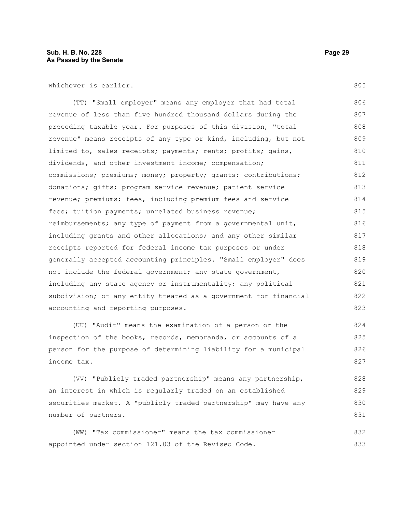whichever is earlier.

(TT) "Small employer" means any employer that had total revenue of less than five hundred thousand dollars during the preceding taxable year. For purposes of this division, "total revenue" means receipts of any type or kind, including, but not limited to, sales receipts; payments; rents; profits; gains, dividends, and other investment income; compensation; commissions; premiums; money; property; grants; contributions; donations; gifts; program service revenue; patient service revenue; premiums; fees, including premium fees and service fees; tuition payments; unrelated business revenue; reimbursements; any type of payment from a governmental unit, including grants and other allocations; and any other similar receipts reported for federal income tax purposes or under generally accepted accounting principles. "Small employer" does not include the federal government; any state government, including any state agency or instrumentality; any political subdivision; or any entity treated as a government for financial accounting and reporting purposes. 806 807 808 809 810 811 812 813 814 815 816 817 818 819 820 821 822 823

(UU) "Audit" means the examination of a person or the inspection of the books, records, memoranda, or accounts of a person for the purpose of determining liability for a municipal income tax. 824 825 826 827

(VV) "Publicly traded partnership" means any partnership, an interest in which is regularly traded on an established securities market. A "publicly traded partnership" may have any number of partners. 828 829 830 831

(WW) "Tax commissioner" means the tax commissioner appointed under section 121.03 of the Revised Code. 832 833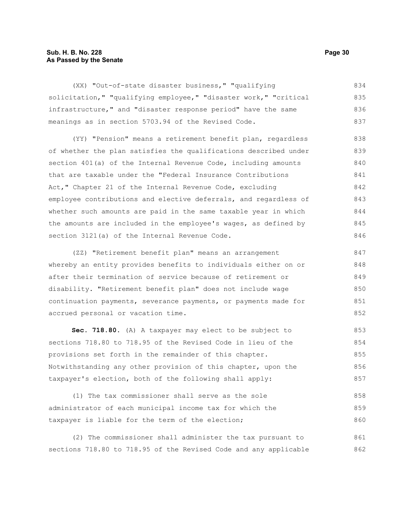#### **Sub. H. B. No. 228 Page 30 As Passed by the Senate**

(XX) "Out-of-state disaster business," "qualifying solicitation," "qualifying employee," "disaster work," "critical infrastructure," and "disaster response period" have the same meanings as in section 5703.94 of the Revised Code. 834 835 836 837

(YY) "Pension" means a retirement benefit plan, regardless of whether the plan satisfies the qualifications described under section 401(a) of the Internal Revenue Code, including amounts that are taxable under the "Federal Insurance Contributions Act," Chapter 21 of the Internal Revenue Code, excluding employee contributions and elective deferrals, and regardless of whether such amounts are paid in the same taxable year in which the amounts are included in the employee's wages, as defined by section 3121(a) of the Internal Revenue Code. 838 839 840 841 842 843 844 845 846

(ZZ) "Retirement benefit plan" means an arrangement whereby an entity provides benefits to individuals either on or after their termination of service because of retirement or disability. "Retirement benefit plan" does not include wage continuation payments, severance payments, or payments made for accrued personal or vacation time. 847 848 849 850 851 852

**Sec. 718.80.** (A) A taxpayer may elect to be subject to sections 718.80 to 718.95 of the Revised Code in lieu of the provisions set forth in the remainder of this chapter. Notwithstanding any other provision of this chapter, upon the taxpayer's election, both of the following shall apply: 853 854 855 856 857

(1) The tax commissioner shall serve as the sole administrator of each municipal income tax for which the taxpayer is liable for the term of the election; 858 859 860

(2) The commissioner shall administer the tax pursuant to sections 718.80 to 718.95 of the Revised Code and any applicable 861 862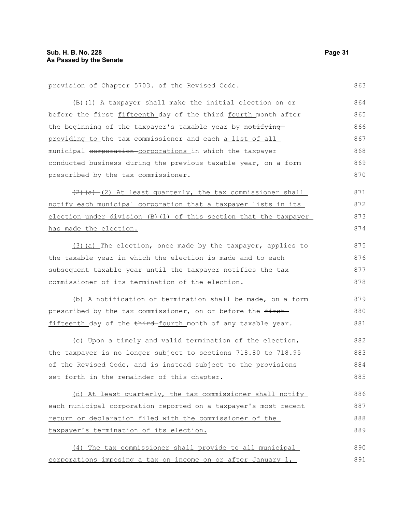provision of Chapter 5703. of the Revised Code.

(B)(1) A taxpayer shall make the initial election on or before the first fifteenth day of the third fourth month after the beginning of the taxpayer's taxable year by notifyingproviding to the tax commissioner and each-a list of all municipal corporation corporations in which the taxpayer conducted business during the previous taxable year, on a form prescribed by the tax commissioner.  $(2)$  (a)  $(2)$  At least quarterly, the tax commissioner shall notify each municipal corporation that a taxpayer lists in its election under division (B)(1) of this section that the taxpayer has made the election. (3)(a) The election, once made by the taxpayer, applies to the taxable year in which the election is made and to each subsequent taxable year until the taxpayer notifies the tax commissioner of its termination of the election. (b) A notification of termination shall be made, on a form prescribed by the tax commissioner, on or before the firstfifteenth day of the third-fourth month of any taxable year. (c) Upon a timely and valid termination of the election, the taxpayer is no longer subject to sections 718.80 to 718.95 of the Revised Code, and is instead subject to the provisions set forth in the remainder of this chapter. (d) At least quarterly, the tax commissioner shall notify each municipal corporation reported on a taxpayer's most recent return or declaration filed with the commissioner of the 864 865 866 867 868 869 870 871 872 873 874 875 876 877 878 879 880 881 882 883 884 885 886 887 888

(4) The tax commissioner shall provide to all municipal corporations imposing a tax on income on or after January 1, 890 891

taxpayer's termination of its election.

863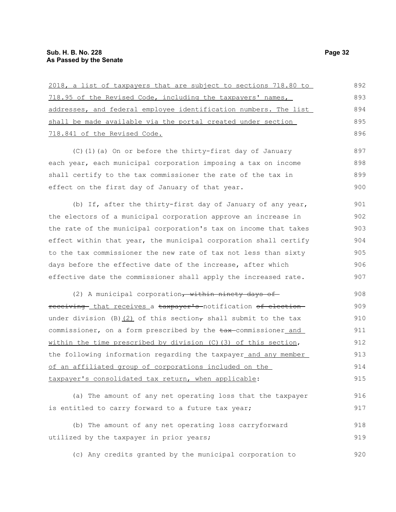| 2018, a list of taxpayers that are subject to sections 718.80 to  | 892 |
|-------------------------------------------------------------------|-----|
| 718.95 of the Revised Code, including the taxpayers' names,       | 893 |
| addresses, and federal employee identification numbers. The list  | 894 |
| shall be made available via the portal created under section      | 895 |
| 718.841 of the Revised Code.                                      | 896 |
| (C)(1)(a) On or before the thirty-first day of January            | 897 |
| each year, each municipal corporation imposing a tax on income    | 898 |
| shall certify to the tax commissioner the rate of the tax in      | 899 |
| effect on the first day of January of that year.                  | 900 |
| (b) If, after the thirty-first day of January of any year,        | 901 |
| the electors of a municipal corporation approve an increase in    | 902 |
| the rate of the municipal corporation's tax on income that takes  | 903 |
| effect within that year, the municipal corporation shall certify  | 904 |
| to the tax commissioner the new rate of tax not less than sixty   | 905 |
| days before the effective date of the increase, after which       | 906 |
| effective date the commissioner shall apply the increased rate.   | 907 |
| (2) A municipal corporation, within ninety days of                | 908 |
| receiving that receives a taxpayer's notification of election     | 909 |
| under division (B) $(2)$ of this section, shall submit to the tax | 910 |
| commissioner, on a form prescribed by the tax-commissioner and    | 911 |
| within the time prescribed by division $(C)$ (3) of this section, | 912 |
| the following information regarding the taxpayer_and any member_  | 913 |
| of an affiliated group of corporations included on the            | 914 |
| taxpayer's consolidated tax return, when applicable:              | 915 |
| (a) The amount of any net operating loss that the taxpayer        | 916 |
| is entitled to carry forward to a future tax year;                | 917 |
| (b) The amount of any net operating loss carryforward             | 918 |
| utilized by the taxpayer in prior years;                          | 919 |

utilized by the taxpayer in prior years;

(c) Any credits granted by the municipal corporation to 920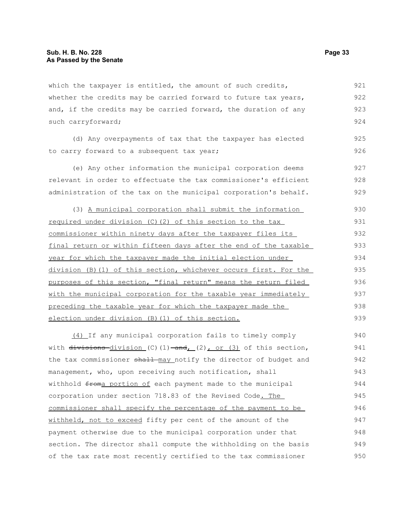which the taxpayer is entitled, the amount of such credits, whether the credits may be carried forward to future tax years, and, if the credits may be carried forward, the duration of any such carryforward; 921 922 923 924

(d) Any overpayments of tax that the taxpayer has elected to carry forward to a subsequent tax year; 925 926

(e) Any other information the municipal corporation deems relevant in order to effectuate the tax commissioner's efficient administration of the tax on the municipal corporation's behalf. 927 928 929

(3) A municipal corporation shall submit the information required under division (C)(2) of this section to the tax commissioner within ninety days after the taxpayer files its final return or within fifteen days after the end of the taxable year for which the taxpayer made the initial election under division (B)(1) of this section, whichever occurs first. For the purposes of this section, "final return" means the return filed with the municipal corporation for the taxable year immediately preceding the taxable year for which the taxpayer made the election under division (B)(1) of this section. 930 931 932 933 934 935 936 937 938 939

(4) If any municipal corporation fails to timely comply with  $\frac{divisions-division}{(C)}$  (1)  $\frac{and}{(2)}$  or (3) of this section, the tax commissioner shall may notify the director of budget and management, who, upon receiving such notification, shall withhold froma portion of each payment made to the municipal corporation under section 718.83 of the Revised Code. The commissioner shall specify the percentage of the payment to be withheld, not to exceed fifty per cent of the amount of the payment otherwise due to the municipal corporation under that section. The director shall compute the withholding on the basis of the tax rate most recently certified to the tax commissioner 940 941 942 943 944 945 946 947 948 949 950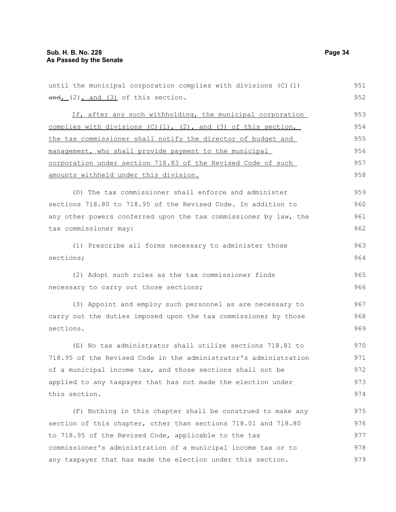| $and_L(2)$ , and $(3)$ of this section.                                  | 952 |
|--------------------------------------------------------------------------|-----|
| If, after any such withholding, the municipal corporation                | 953 |
| complies with divisions $(C)$ $(1)$ , $(2)$ , and $(3)$ of this section, | 954 |
| the tax commissioner shall notify the director of budget and             | 955 |
| management, who shall provide payment to the municipal                   | 956 |
| corporation under section 718.83 of the Revised Code of such             | 957 |
| amounts withheld under this division.                                    | 958 |
| (D) The tax commissioner shall enforce and administer                    | 959 |
| sections 718.80 to 718.95 of the Revised Code. In addition to            | 960 |
| any other powers conferred upon the tax commissioner by law, the         | 961 |
| tax commissioner may:                                                    | 962 |
| (1) Prescribe all forms necessary to administer those                    | 963 |
| sections;                                                                | 964 |
| (2) Adopt such rules as the tax commissioner finds                       | 965 |
| necessary to carry out those sections;                                   | 966 |
| (3) Appoint and employ such personnel as are necessary to                | 967 |
| carry out the duties imposed upon the tax commissioner by those          | 968 |
| sections.                                                                | 969 |
| (E) No tax administrator shall utilize sections 718.81 to                | 970 |
| 718.95 of the Revised Code in the administrator's administration         | 971 |
| of a municipal income tax, and those sections shall not be               | 972 |
| applied to any taxpayer that has not made the election under             | 973 |
| this section.                                                            | 974 |
| (F) Nothing in this chapter shall be construed to make any               | 975 |
| section of this chapter, other than sections 718.01 and 718.80           | 976 |
| to 718.95 of the Revised Code, applicable to the tax                     | 977 |
| commissioner's administration of a municipal income tax or to            | 978 |
| any taxpayer that has made the election under this section.              | 979 |

until the municipal corporation complies with divisions (C)(1)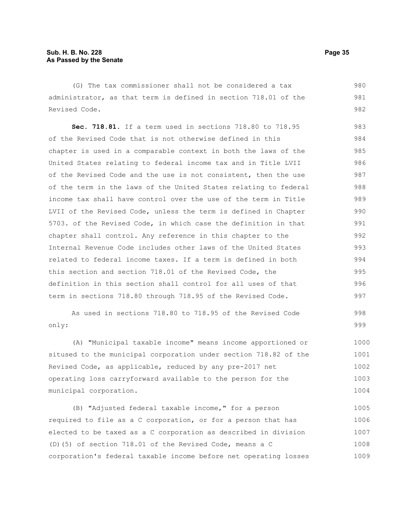(G) The tax commissioner shall not be considered a tax administrator, as that term is defined in section 718.01 of the Revised Code.

**Sec. 718.81.** If a term used in sections 718.80 to 718.95 of the Revised Code that is not otherwise defined in this chapter is used in a comparable context in both the laws of the United States relating to federal income tax and in Title LVII of the Revised Code and the use is not consistent, then the use of the term in the laws of the United States relating to federal income tax shall have control over the use of the term in Title LVII of the Revised Code, unless the term is defined in Chapter 5703. of the Revised Code, in which case the definition in that chapter shall control. Any reference in this chapter to the Internal Revenue Code includes other laws of the United States related to federal income taxes. If a term is defined in both this section and section 718.01 of the Revised Code, the definition in this section shall control for all uses of that term in sections 718.80 through 718.95 of the Revised Code. 983 984 985 986 987 988 989 990 991 992 993 994 995 996 997

As used in sections 718.80 to 718.95 of the Revised Code only:

(A) "Municipal taxable income" means income apportioned or sitused to the municipal corporation under section 718.82 of the Revised Code, as applicable, reduced by any pre-2017 net operating loss carryforward available to the person for the municipal corporation. 1000 1001 1002 1003 1004

(B) "Adjusted federal taxable income," for a person required to file as a C corporation, or for a person that has elected to be taxed as a C corporation as described in division (D)(5) of section 718.01 of the Revised Code, means a C corporation's federal taxable income before net operating losses 1005 1006 1007 1008 1009

980 981 982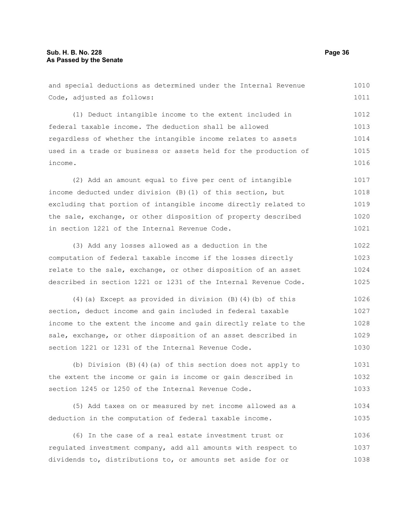and special deductions as determined under the Internal Revenue Code, adjusted as follows: (1) Deduct intangible income to the extent included in federal taxable income. The deduction shall be allowed regardless of whether the intangible income relates to assets used in a trade or business or assets held for the production of income. (2) Add an amount equal to five per cent of intangible income deducted under division (B)(1) of this section, but excluding that portion of intangible income directly related to the sale, exchange, or other disposition of property described in section 1221 of the Internal Revenue Code. (3) Add any losses allowed as a deduction in the computation of federal taxable income if the losses directly relate to the sale, exchange, or other disposition of an asset described in section 1221 or 1231 of the Internal Revenue Code. (4)(a) Except as provided in division (B)(4)(b) of this section, deduct income and gain included in federal taxable income to the extent the income and gain directly relate to the sale, exchange, or other disposition of an asset described in section 1221 or 1231 of the Internal Revenue Code. (b) Division (B)(4)(a) of this section does not apply to the extent the income or gain is income or gain described in section 1245 or 1250 of the Internal Revenue Code. (5) Add taxes on or measured by net income allowed as a deduction in the computation of federal taxable income. 1010 1011 1012 1013 1014 1015 1016 1017 1018 1019 1020 1021 1022 1023 1024 1025 1026 1027 1028 1029 1030 1031 1032 1033 1034 1035

(6) In the case of a real estate investment trust or regulated investment company, add all amounts with respect to dividends to, distributions to, or amounts set aside for or 1036 1037 1038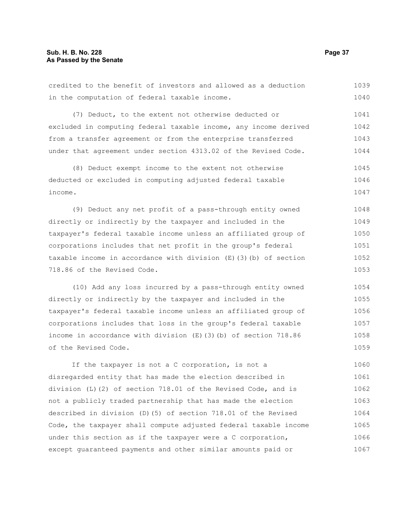in the computation of federal taxable income. (7) Deduct, to the extent not otherwise deducted or excluded in computing federal taxable income, any income derived from a transfer agreement or from the enterprise transferred under that agreement under section 4313.02 of the Revised Code. (8) Deduct exempt income to the extent not otherwise deducted or excluded in computing adjusted federal taxable income. (9) Deduct any net profit of a pass-through entity owned directly or indirectly by the taxpayer and included in the taxpayer's federal taxable income unless an affiliated group of corporations includes that net profit in the group's federal taxable income in accordance with division (E)(3)(b) of section 718.86 of the Revised Code. (10) Add any loss incurred by a pass-through entity owned directly or indirectly by the taxpayer and included in the taxpayer's federal taxable income unless an affiliated group of corporations includes that loss in the group's federal taxable income in accordance with division (E)(3)(b) of section 718.86 of the Revised Code. If the taxpayer is not a C corporation, is not a disregarded entity that has made the election described in division (L)(2) of section 718.01 of the Revised Code, and is 1040 1041 1042 1043 1044 1045 1046 1047 1048 1049 1050 1051 1052 1053 1054 1055 1056 1057 1058 1059 1060 1061 1062

credited to the benefit of investors and allowed as a deduction

not a publicly traded partnership that has made the election described in division (D)(5) of section 718.01 of the Revised Code, the taxpayer shall compute adjusted federal taxable income under this section as if the taxpayer were a C corporation, except guaranteed payments and other similar amounts paid or 1063 1064 1065 1066 1067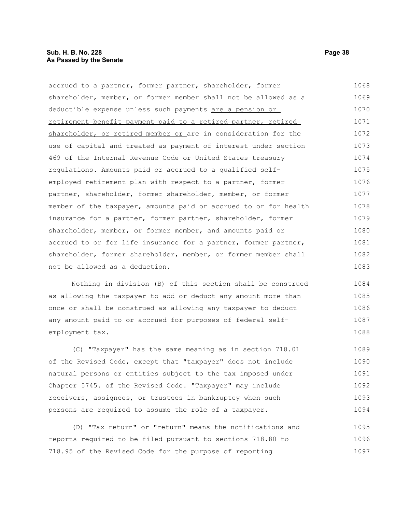| accrued to a partner, former partner, shareholder, former        | 1068 |
|------------------------------------------------------------------|------|
| shareholder, member, or former member shall not be allowed as a  | 1069 |
| deductible expense unless such payments are a pension or         | 1070 |
| retirement benefit payment paid to a retired partner, retired    | 1071 |
| shareholder, or retired member or are in consideration for the   | 1072 |
| use of capital and treated as payment of interest under section  | 1073 |
| 469 of the Internal Revenue Code or United States treasury       | 1074 |
| regulations. Amounts paid or accrued to a qualified self-        | 1075 |
| employed retirement plan with respect to a partner, former       | 1076 |
| partner, shareholder, former shareholder, member, or former      | 1077 |
| member of the taxpayer, amounts paid or accrued to or for health | 1078 |
| insurance for a partner, former partner, shareholder, former     | 1079 |
| shareholder, member, or former member, and amounts paid or       | 1080 |
| accrued to or for life insurance for a partner, former partner,  | 1081 |
| shareholder, former shareholder, member, or former member shall  | 1082 |
| not be allowed as a deduction.                                   | 1083 |
|                                                                  |      |

Nothing in division (B) of this section shall be construed as allowing the taxpayer to add or deduct any amount more than once or shall be construed as allowing any taxpayer to deduct any amount paid to or accrued for purposes of federal selfemployment tax. 1084 1085 1086 1087 1088

(C) "Taxpayer" has the same meaning as in section 718.01 of the Revised Code, except that "taxpayer" does not include natural persons or entities subject to the tax imposed under Chapter 5745. of the Revised Code. "Taxpayer" may include receivers, assignees, or trustees in bankruptcy when such persons are required to assume the role of a taxpayer. 1089 1090 1091 1092 1093 1094

(D) "Tax return" or "return" means the notifications and reports required to be filed pursuant to sections 718.80 to 718.95 of the Revised Code for the purpose of reporting 1095 1096 1097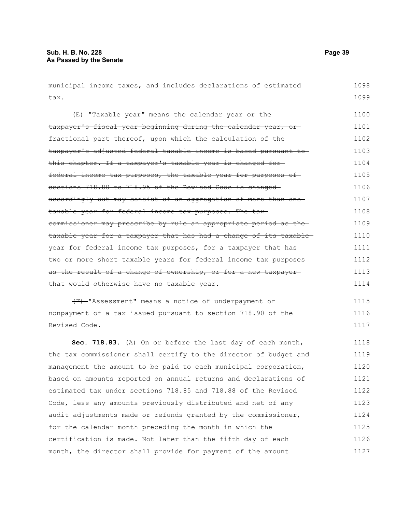| municipal income taxes, and includes declarations of estimated   | 1098 |
|------------------------------------------------------------------|------|
| tax.                                                             | 1099 |
| (E) "Taxable year" means the calendar year or the-               | 1100 |
| taxpayer's fiscal year beginning during the calendar year, or-   | 1101 |
| fractional part thereof, upon which the calculation of the-      | 1102 |
| taxpayer's adjusted federal taxable income is based pursuant to  | 1103 |
| this chapter. If a taxpayer's taxable year is changed for-       | 1104 |
| federal income tax purposes, the taxable year for purposes of    | 1105 |
| sections 718.80 to 718.95 of the Revised Code is changed         | 1106 |
| accordingly but may consist of an aggregation of more than one-  | 1107 |
| taxable year for federal income tax purposes. The tax-           | 1108 |
| commissioner may prescribe by rule an appropriate period as the  | 1109 |
| taxable year for a taxpayer that has had a change of its taxable | 1110 |
| year for federal income tax purposes, for a taxpayer that has    | 1111 |
| two or more short taxable years for federal income tax purposes- | 1112 |
| as the result of a change of ownership, or for a new taxpayer-   | 1113 |
| that would otherwise have no taxable year.                       | 1114 |
| (F) "Assessment" means a notice of underpayment or               | 1115 |
| nonpayment of a tax issued pursuant to section 718.90 of the     | 1116 |
| Revised Code.                                                    | 1117 |
| Sec. 718.83. (A) On or before the last day of each month,        | 1118 |
| the tax commissioner shall certify to the director of budget and | 1119 |
| management the amount to be paid to each municipal corporation,  | 1120 |
| based on amounts reported on annual returns and declarations of  | 1121 |
| estimated tax under sections 718.85 and 718.88 of the Revised    | 1122 |
| Code, less any amounts previously distributed and net of any     | 1123 |
| audit adjustments made or refunds granted by the commissioner,   | 1124 |
| for the calendar month preceding the month in which the          | 1125 |
| certification is made. Not later than the fifth day of each      | 1126 |
| month, the director shall provide for payment of the amount      | 1127 |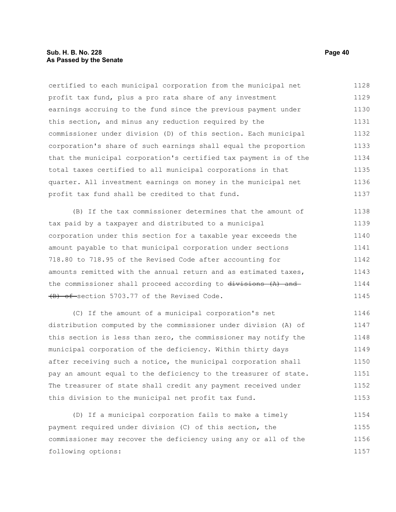certified to each municipal corporation from the municipal net profit tax fund, plus a pro rata share of any investment earnings accruing to the fund since the previous payment under this section, and minus any reduction required by the commissioner under division (D) of this section. Each municipal corporation's share of such earnings shall equal the proportion that the municipal corporation's certified tax payment is of the total taxes certified to all municipal corporations in that quarter. All investment earnings on money in the municipal net profit tax fund shall be credited to that fund. 1128 1129 1130 1131 1132 1133 1134 1135 1136 1137

(B) If the tax commissioner determines that the amount of tax paid by a taxpayer and distributed to a municipal corporation under this section for a taxable year exceeds the amount payable to that municipal corporation under sections 718.80 to 718.95 of the Revised Code after accounting for amounts remitted with the annual return and as estimated taxes, the commissioner shall proceed according to divisions (A) and (B) of section 5703.77 of the Revised Code. 1138 1139 1140 1141 1142 1143 1144 1145

(C) If the amount of a municipal corporation's net distribution computed by the commissioner under division (A) of this section is less than zero, the commissioner may notify the municipal corporation of the deficiency. Within thirty days after receiving such a notice, the municipal corporation shall pay an amount equal to the deficiency to the treasurer of state. The treasurer of state shall credit any payment received under this division to the municipal net profit tax fund. 1146 1147 1148 1149 1150 1151 1152 1153

(D) If a municipal corporation fails to make a timely payment required under division (C) of this section, the commissioner may recover the deficiency using any or all of the following options: 1154 1155 1156 1157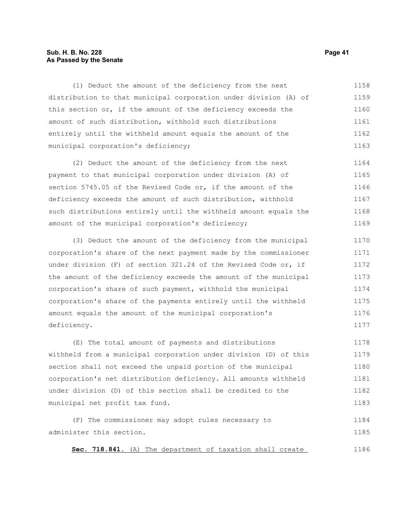#### **Sub. H. B. No. 228 Page 41 As Passed by the Senate**

(1) Deduct the amount of the deficiency from the next distribution to that municipal corporation under division (A) of this section or, if the amount of the deficiency exceeds the amount of such distribution, withhold such distributions entirely until the withheld amount equals the amount of the municipal corporation's deficiency; 1158 1159 1160 1161 1162 1163

(2) Deduct the amount of the deficiency from the next payment to that municipal corporation under division (A) of section 5745.05 of the Revised Code or, if the amount of the deficiency exceeds the amount of such distribution, withhold such distributions entirely until the withheld amount equals the amount of the municipal corporation's deficiency; 1164 1165 1166 1167 1168 1169

(3) Deduct the amount of the deficiency from the municipal corporation's share of the next payment made by the commissioner under division (F) of section 321.24 of the Revised Code or, if the amount of the deficiency exceeds the amount of the municipal corporation's share of such payment, withhold the municipal corporation's share of the payments entirely until the withheld amount equals the amount of the municipal corporation's deficiency. 1170 1171 1172 1173 1174 1175 1176 1177

(E) The total amount of payments and distributions withheld from a municipal corporation under division (D) of this section shall not exceed the unpaid portion of the municipal corporation's net distribution deficiency. All amounts withheld under division (D) of this section shall be credited to the municipal net profit tax fund. 1178 1179 1180 1181 1182 1183

(F) The commissioner may adopt rules necessary to administer this section. 1184 1185

 **Sec. 718.841.** (A) The department of taxation shall create 1186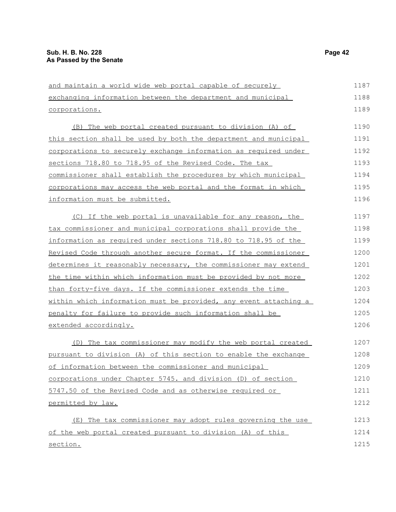| and maintain a world wide web portal capable of securely               | 1187 |
|------------------------------------------------------------------------|------|
| exchanging information between the department and municipal            | 1188 |
| corporations.                                                          | 1189 |
| (B) The web portal created pursuant to division (A) of                 | 1190 |
| this section shall be used by both the department and municipal        | 1191 |
| corporations to securely exchange information as required under        | 1192 |
| sections 718.80 to 718.95 of the Revised Code. The tax                 | 1193 |
| commissioner shall establish the procedures by which municipal         | 1194 |
| corporations may access the web portal and the format in which         | 1195 |
| information must be submitted.                                         | 1196 |
| (C) If the web portal is unavailable for any reason, the               | 1197 |
| tax commissioner and municipal corporations shall provide the          | 1198 |
| information as required under sections 718.80 to 718.95 of the         | 1199 |
| Revised Code through another secure format. If the commissioner        | 1200 |
| <u>determines it reasonably necessary, the commissioner may extend</u> | 1201 |
| the time within which information must be provided by not more         | 1202 |
| than forty-five days. If the commissioner extends the time             | 1203 |
| within which information must be provided, any event attaching a       | 1204 |
| penalty for failure to provide such information shall be               | 1205 |
| extended accordingly.                                                  | 1206 |
| (D) The tax commissioner may modify the web portal created             | 1207 |
| pursuant to division (A) of this section to enable the exchange        | 1208 |
| of information between the commissioner and municipal                  | 1209 |
| corporations under Chapter 5745. and division (D) of section           | 1210 |
| 5747.50 of the Revised Code and as otherwise required or               | 1211 |
| permitted by law.                                                      | 1212 |
| The tax commissioner may adopt rules governing the use<br>(E)          | 1213 |
| of the web portal created pursuant to division (A) of this             | 1214 |
| section.                                                               | 1215 |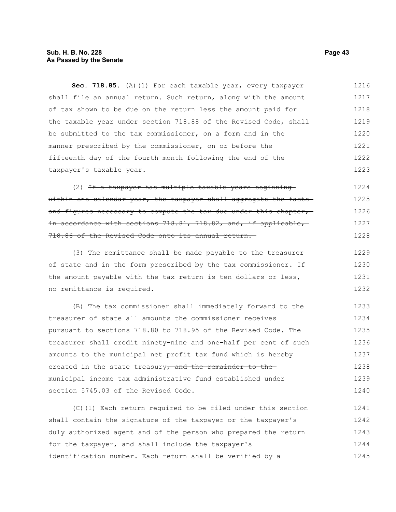#### **Sub. H. B. No. 228 Page 43 As Passed by the Senate**

Sec. 718.85. (A) (1) For each taxable year, every taxpayer shall file an annual return. Such return, along with the amount of tax shown to be due on the return less the amount paid for the taxable year under section 718.88 of the Revised Code, shall be submitted to the tax commissioner, on a form and in the manner prescribed by the commissioner, on or before the fifteenth day of the fourth month following the end of the taxpayer's taxable year. 1216 1217 1218 1219 1220 1221 1222 1223

(2) If a taxpayer has multiple taxable years beginning within one calendar year, the taxpayer shall aggregate the factsand figures necessary to compute the tax due under this chapter, in accordance with sections 718.81, 718.82, and, if applicable, 718.86 of the Revised Code onto its annual return. 1224 1225 1226 1227 1228

(3) The remittance shall be made payable to the treasurer of state and in the form prescribed by the tax commissioner. If the amount payable with the tax return is ten dollars or less, no remittance is required. 1229 1230 1231 1232

(B) The tax commissioner shall immediately forward to the treasurer of state all amounts the commissioner receives pursuant to sections 718.80 to 718.95 of the Revised Code. The treasurer shall credit ninety-nine and one-half per cent of such amounts to the municipal net profit tax fund which is hereby created in the state treasury, and the remainder to themunicipal income tax administrative fund established under section 5745.03 of the Revised Code. 1233 1234 1235 1236 1237 1238 1239 1240

(C)(1) Each return required to be filed under this section shall contain the signature of the taxpayer or the taxpayer's duly authorized agent and of the person who prepared the return for the taxpayer, and shall include the taxpayer's identification number. Each return shall be verified by a 1241 1242 1243 1244 1245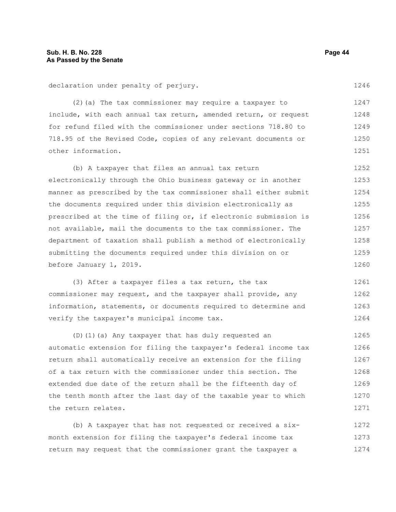declaration under penalty of perjury.

(2)(a) The tax commissioner may require a taxpayer to include, with each annual tax return, amended return, or request for refund filed with the commissioner under sections 718.80 to 718.95 of the Revised Code, copies of any relevant documents or other information. 1248 1249 1250 1251

(b) A taxpayer that files an annual tax return electronically through the Ohio business gateway or in another manner as prescribed by the tax commissioner shall either submit the documents required under this division electronically as prescribed at the time of filing or, if electronic submission is not available, mail the documents to the tax commissioner. The department of taxation shall publish a method of electronically submitting the documents required under this division on or before January 1, 2019. 1252 1253 1254 1255 1256 1257 1258 1259 1260

(3) After a taxpayer files a tax return, the tax commissioner may request, and the taxpayer shall provide, any information, statements, or documents required to determine and verify the taxpayer's municipal income tax. 1261 1262 1263 1264

(D)(1)(a) Any taxpayer that has duly requested an automatic extension for filing the taxpayer's federal income tax return shall automatically receive an extension for the filing of a tax return with the commissioner under this section. The extended due date of the return shall be the fifteenth day of the tenth month after the last day of the taxable year to which the return relates. 1265 1266 1267 1268 1269 1270 1271

(b) A taxpayer that has not requested or received a sixmonth extension for filing the taxpayer's federal income tax return may request that the commissioner grant the taxpayer a 1272 1273 1274

1246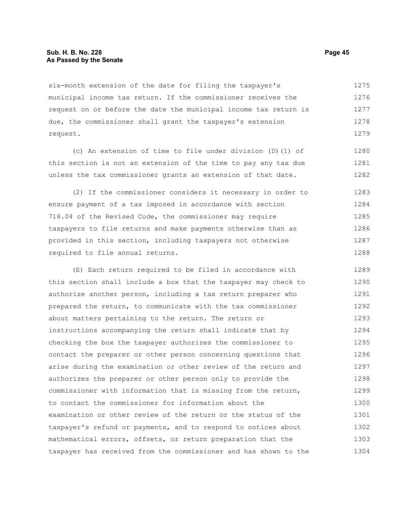#### **Sub. H. B. No. 228 Page 45 As Passed by the Senate**

six-month extension of the date for filing the taxpayer's municipal income tax return. If the commissioner receives the request on or before the date the municipal income tax return is due, the commissioner shall grant the taxpayer's extension request. 1275 1276 1277 1278 1279

(c) An extension of time to file under division (D)(1) of this section is not an extension of the time to pay any tax due unless the tax commissioner grants an extension of that date. 1280 1281 1282

(2) If the commissioner considers it necessary in order to ensure payment of a tax imposed in accordance with section 718.04 of the Revised Code, the commissioner may require taxpayers to file returns and make payments otherwise than as provided in this section, including taxpayers not otherwise required to file annual returns. 1283 1284 1285 1286 1287 1288

(E) Each return required to be filed in accordance with this section shall include a box that the taxpayer may check to authorize another person, including a tax return preparer who prepared the return, to communicate with the tax commissioner about matters pertaining to the return. The return or instructions accompanying the return shall indicate that by checking the box the taxpayer authorizes the commissioner to contact the preparer or other person concerning questions that arise during the examination or other review of the return and authorizes the preparer or other person only to provide the commissioner with information that is missing from the return, to contact the commissioner for information about the examination or other review of the return or the status of the taxpayer's refund or payments, and to respond to notices about mathematical errors, offsets, or return preparation that the taxpayer has received from the commissioner and has shown to the 1289 1290 1291 1292 1293 1294 1295 1296 1297 1298 1299 1300 1301 1302 1303 1304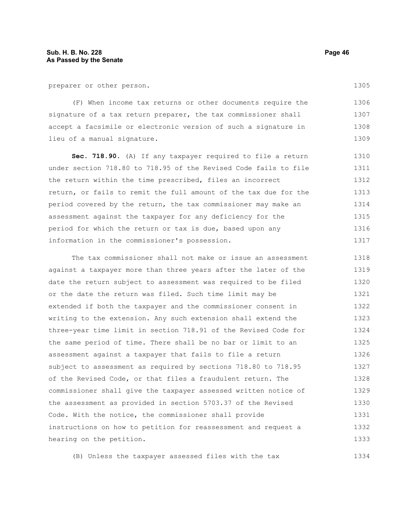preparer or other person.

(F) When income tax returns or other documents require the signature of a tax return preparer, the tax commissioner shall accept a facsimile or electronic version of such a signature in lieu of a manual signature. 1306 1307 1308 1309

**Sec. 718.90.** (A) If any taxpayer required to file a return under section 718.80 to 718.95 of the Revised Code fails to file the return within the time prescribed, files an incorrect return, or fails to remit the full amount of the tax due for the period covered by the return, the tax commissioner may make an assessment against the taxpayer for any deficiency for the period for which the return or tax is due, based upon any information in the commissioner's possession. 1310 1311 1312 1313 1314 1315 1316 1317

The tax commissioner shall not make or issue an assessment against a taxpayer more than three years after the later of the date the return subject to assessment was required to be filed or the date the return was filed. Such time limit may be extended if both the taxpayer and the commissioner consent in writing to the extension. Any such extension shall extend the three-year time limit in section 718.91 of the Revised Code for the same period of time. There shall be no bar or limit to an assessment against a taxpayer that fails to file a return subject to assessment as required by sections 718.80 to 718.95 of the Revised Code, or that files a fraudulent return. The commissioner shall give the taxpayer assessed written notice of the assessment as provided in section 5703.37 of the Revised Code. With the notice, the commissioner shall provide instructions on how to petition for reassessment and request a hearing on the petition. 1318 1319 1320 1321 1322 1323 1324 1325 1326 1327 1328 1329 1330 1331 1332 1333

(B) Unless the taxpayer assessed files with the tax 1334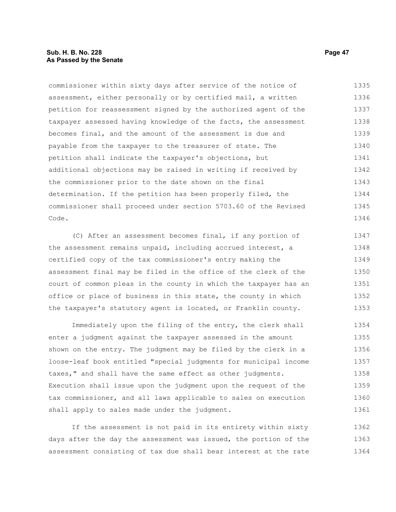#### **Sub. H. B. No. 228 Page 47 As Passed by the Senate**

commissioner within sixty days after service of the notice of assessment, either personally or by certified mail, a written petition for reassessment signed by the authorized agent of the taxpayer assessed having knowledge of the facts, the assessment becomes final, and the amount of the assessment is due and payable from the taxpayer to the treasurer of state. The petition shall indicate the taxpayer's objections, but additional objections may be raised in writing if received by the commissioner prior to the date shown on the final determination. If the petition has been properly filed, the commissioner shall proceed under section 5703.60 of the Revised Code. 1335 1336 1337 1338 1339 1340 1341 1342 1343 1344 1345 1346

(C) After an assessment becomes final, if any portion of the assessment remains unpaid, including accrued interest, a certified copy of the tax commissioner's entry making the assessment final may be filed in the office of the clerk of the court of common pleas in the county in which the taxpayer has an office or place of business in this state, the county in which the taxpayer's statutory agent is located, or Franklin county. 1347 1348 1349 1350 1351 1352 1353

Immediately upon the filing of the entry, the clerk shall enter a judgment against the taxpayer assessed in the amount shown on the entry. The judgment may be filed by the clerk in a loose-leaf book entitled "special judgments for municipal income taxes," and shall have the same effect as other judgments. Execution shall issue upon the judgment upon the request of the tax commissioner, and all laws applicable to sales on execution shall apply to sales made under the judgment. 1354 1355 1356 1357 1358 1359 1360 1361

If the assessment is not paid in its entirety within sixty days after the day the assessment was issued, the portion of the assessment consisting of tax due shall bear interest at the rate 1362 1363 1364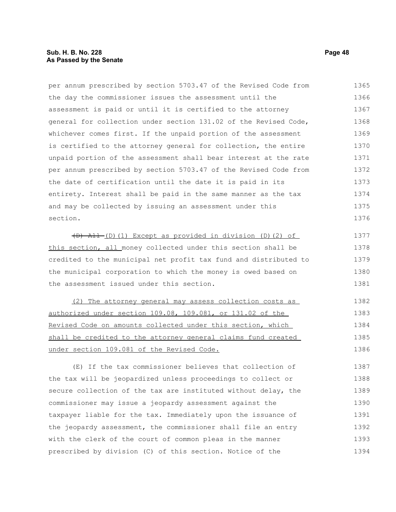per annum prescribed by section 5703.47 of the Revised Code from the day the commissioner issues the assessment until the assessment is paid or until it is certified to the attorney general for collection under section 131.02 of the Revised Code, whichever comes first. If the unpaid portion of the assessment is certified to the attorney general for collection, the entire unpaid portion of the assessment shall bear interest at the rate per annum prescribed by section 5703.47 of the Revised Code from the date of certification until the date it is paid in its entirety. Interest shall be paid in the same manner as the tax and may be collected by issuing an assessment under this section.  $(D)$  All (D)(1) Except as provided in division (D)(2) of this section, all money collected under this section shall be credited to the municipal net profit tax fund and distributed to the municipal corporation to which the money is owed based on the assessment issued under this section. (2) The attorney general may assess collection costs as authorized under section 109.08, 109.081, or 131.02 of the Revised Code on amounts collected under this section, which 1365 1366 1367 1368 1369 1370 1371 1372 1373 1374 1375 1376 1377 1378 1379 1380 1381 1382 1383 1384 1385

shall be credited to the attorney general claims fund created under section 109.081 of the Revised Code.

(E) If the tax commissioner believes that collection of the tax will be jeopardized unless proceedings to collect or secure collection of the tax are instituted without delay, the commissioner may issue a jeopardy assessment against the taxpayer liable for the tax. Immediately upon the issuance of the jeopardy assessment, the commissioner shall file an entry with the clerk of the court of common pleas in the manner prescribed by division (C) of this section. Notice of the 1387 1388 1389 1390 1391 1392 1393 1394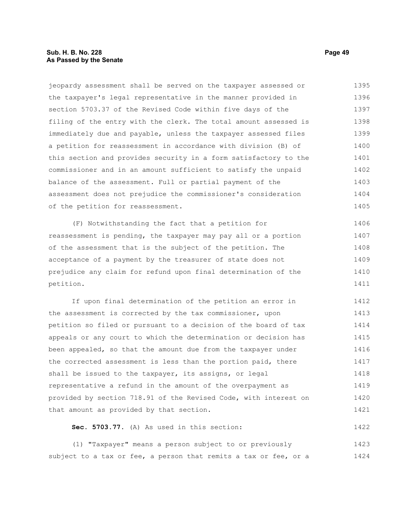#### **Sub. H. B. No. 228 Page 49 As Passed by the Senate**

jeopardy assessment shall be served on the taxpayer assessed or the taxpayer's legal representative in the manner provided in section 5703.37 of the Revised Code within five days of the filing of the entry with the clerk. The total amount assessed is immediately due and payable, unless the taxpayer assessed files a petition for reassessment in accordance with division (B) of this section and provides security in a form satisfactory to the commissioner and in an amount sufficient to satisfy the unpaid balance of the assessment. Full or partial payment of the assessment does not prejudice the commissioner's consideration of the petition for reassessment. 1395 1396 1397 1398 1399 1400 1401 1402 1403 1404 1405

(F) Notwithstanding the fact that a petition for reassessment is pending, the taxpayer may pay all or a portion of the assessment that is the subject of the petition. The acceptance of a payment by the treasurer of state does not prejudice any claim for refund upon final determination of the petition. 1406 1407 1408 1409 1410 1411

If upon final determination of the petition an error in the assessment is corrected by the tax commissioner, upon petition so filed or pursuant to a decision of the board of tax appeals or any court to which the determination or decision has been appealed, so that the amount due from the taxpayer under the corrected assessment is less than the portion paid, there shall be issued to the taxpayer, its assigns, or legal representative a refund in the amount of the overpayment as provided by section 718.91 of the Revised Code, with interest on that amount as provided by that section. 1412 1413 1414 1415 1416 1417 1418 1419 1420 1421

### **Sec. 5703.77.** (A) As used in this section:

(1) "Taxpayer" means a person subject to or previously subject to a tax or fee, a person that remits a tax or fee, or a 1423 1424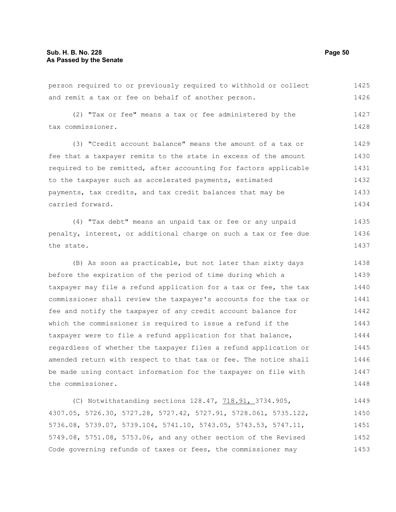person required to or previously required to withhold or collect and remit a tax or fee on behalf of another person. 1425 1426

(2) "Tax or fee" means a tax or fee administered by the tax commissioner. 1427 1428

(3) "Credit account balance" means the amount of a tax or fee that a taxpayer remits to the state in excess of the amount required to be remitted, after accounting for factors applicable to the taxpayer such as accelerated payments, estimated payments, tax credits, and tax credit balances that may be carried forward. 1429 1430 1431 1432 1433 1434

(4) "Tax debt" means an unpaid tax or fee or any unpaid penalty, interest, or additional charge on such a tax or fee due the state. 1435 1436 1437

(B) As soon as practicable, but not later than sixty days before the expiration of the period of time during which a taxpayer may file a refund application for a tax or fee, the tax commissioner shall review the taxpayer's accounts for the tax or fee and notify the taxpayer of any credit account balance for which the commissioner is required to issue a refund if the taxpayer were to file a refund application for that balance, regardless of whether the taxpayer files a refund application or amended return with respect to that tax or fee. The notice shall be made using contact information for the taxpayer on file with the commissioner. 1438 1439 1440 1441 1442 1443 1444 1445 1446 1447 1448

(C) Notwithstanding sections 128.47, 718.91, 3734.905, 4307.05, 5726.30, 5727.28, 5727.42, 5727.91, 5728.061, 5735.122, 5736.08, 5739.07, 5739.104, 5741.10, 5743.05, 5743.53, 5747.11, 5749.08, 5751.08, 5753.06, and any other section of the Revised Code governing refunds of taxes or fees, the commissioner may 1449 1450 1451 1452 1453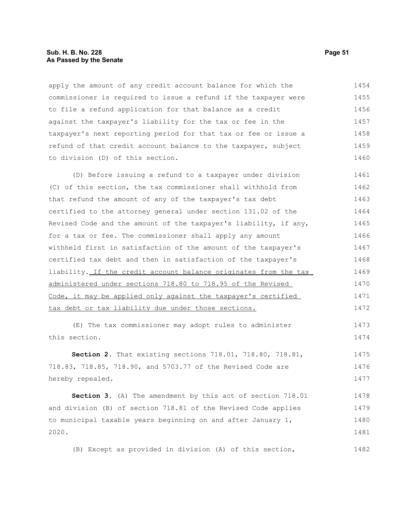#### **Sub. H. B. No. 228 Page 51 As Passed by the Senate**

apply the amount of any credit account balance for which the commissioner is required to issue a refund if the taxpayer were to file a refund application for that balance as a credit against the taxpayer's liability for the tax or fee in the taxpayer's next reporting period for that tax or fee or issue a refund of that credit account balance to the taxpayer, subject to division (D) of this section. 1454 1455 1456 1457 1458 1459 1460

(D) Before issuing a refund to a taxpayer under division (C) of this section, the tax commissioner shall withhold from that refund the amount of any of the taxpayer's tax debt certified to the attorney general under section 131.02 of the Revised Code and the amount of the taxpayer's liability, if any, for a tax or fee. The commissioner shall apply any amount withheld first in satisfaction of the amount of the taxpayer's certified tax debt and then in satisfaction of the taxpayer's liability. If the credit account balance originates from the tax administered under sections 718.80 to 718.95 of the Revised Code, it may be applied only against the taxpayer's certified tax debt or tax liability due under those sections. 1461 1462 1463 1464 1465 1466 1467 1468 1469 1470 1471 1472

(E) The tax commissioner may adopt rules to administer this section. 1473 1474

**Section 2.** That existing sections 718.01, 718.80, 718.81, 718.83, 718.85, 718.90, and 5703.77 of the Revised Code are hereby repealed. 1475 1476 1477

**Section 3.** (A) The amendment by this act of section 718.01 and division (B) of section 718.81 of the Revised Code applies to municipal taxable years beginning on and after January 1, 2020. 1478 1479 1480 1481

(B) Except as provided in division (A) of this section,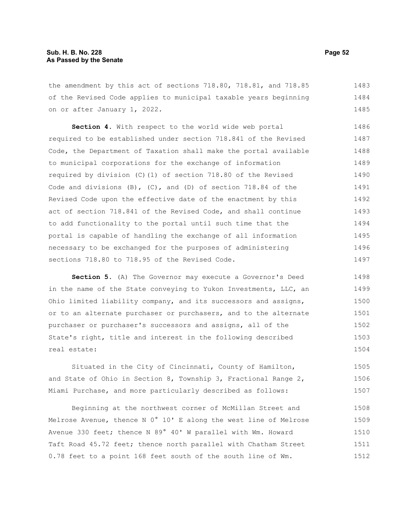the amendment by this act of sections 718.80, 718.81, and 718.85 of the Revised Code applies to municipal taxable years beginning on or after January 1, 2022. 1483 1484 1485

**Section 4.** With respect to the world wide web portal required to be established under section 718.841 of the Revised Code, the Department of Taxation shall make the portal available to municipal corporations for the exchange of information required by division (C)(1) of section 718.80 of the Revised Code and divisions  $(B)$ ,  $(C)$ , and  $(D)$  of section 718.84 of the Revised Code upon the effective date of the enactment by this act of section 718.841 of the Revised Code, and shall continue to add functionality to the portal until such time that the portal is capable of handling the exchange of all information necessary to be exchanged for the purposes of administering sections 718.80 to 718.95 of the Revised Code. 1486 1487 1488 1489 1490 1491 1492 1493 1494 1495 1496 1497

**Section 5.** (A) The Governor may execute a Governor's Deed in the name of the State conveying to Yukon Investments, LLC, an Ohio limited liability company, and its successors and assigns, or to an alternate purchaser or purchasers, and to the alternate purchaser or purchaser's successors and assigns, all of the State's right, title and interest in the following described real estate: 1498 1499 1500 1501 1502 1503 1504

Situated in the City of Cincinnati, County of Hamilton, and State of Ohio in Section 8, Township 3, Fractional Range 2, Miami Purchase, and more particularly described as follows: 1505 1506 1507

Beginning at the northwest corner of McMillan Street and Melrose Avenue, thence N 0° 10' E along the west line of Melrose Avenue 330 feet; thence N 89° 40' W parallel with Wm. Howard Taft Road 45.72 feet; thence north parallel with Chatham Street 0.78 feet to a point 168 feet south of the south line of Wm. 1508 1509 1510 1511 1512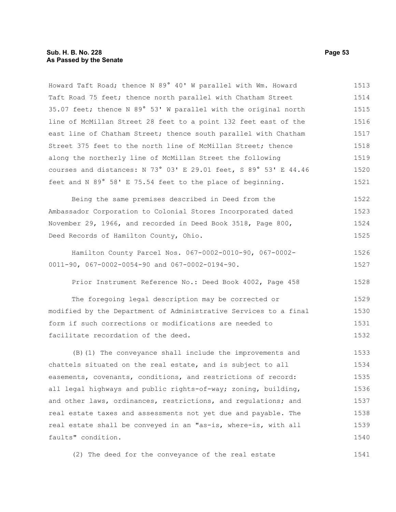Howard Taft Road; thence N 89° 40' W parallel with Wm. Howard Taft Road 75 feet; thence north parallel with Chatham Street 35.07 feet; thence N 89° 53' W parallel with the original north line of McMillan Street 28 feet to a point 132 feet east of the east line of Chatham Street; thence south parallel with Chatham Street 375 feet to the north line of McMillan Street; thence along the northerly line of McMillan Street the following courses and distances: N 73° 03' E 29.01 feet, S 89° 53' E 44.46 feet and N 89° 58' E 75.54 feet to the place of beginning. 1513 1514 1515 1516 1517 1518 1519 1520 1521

Being the same premises described in Deed from the Ambassador Corporation to Colonial Stores Incorporated dated November 29, 1966, and recorded in Deed Book 3518, Page 800, Deed Records of Hamilton County, Ohio. 1522 1523 1524 1525

Hamilton County Parcel Nos. 067-0002-0010-90, 067-0002- 0011-90, 067-0002-0054-90 and 067-0002-0194-90. 1526 1527

Prior Instrument Reference No.: Deed Book 4002, Page 458 1528

The foregoing legal description may be corrected or modified by the Department of Administrative Services to a final form if such corrections or modifications are needed to facilitate recordation of the deed. 1529 1530 1531 1532

(B)(1) The conveyance shall include the improvements and chattels situated on the real estate, and is subject to all easements, covenants, conditions, and restrictions of record: all legal highways and public rights-of-way; zoning, building, and other laws, ordinances, restrictions, and regulations; and real estate taxes and assessments not yet due and payable. The real estate shall be conveyed in an "as-is, where-is, with all faults" condition. 1533 1534 1535 1536 1537 1538 1539 1540

(2) The deed for the conveyance of the real estate 1541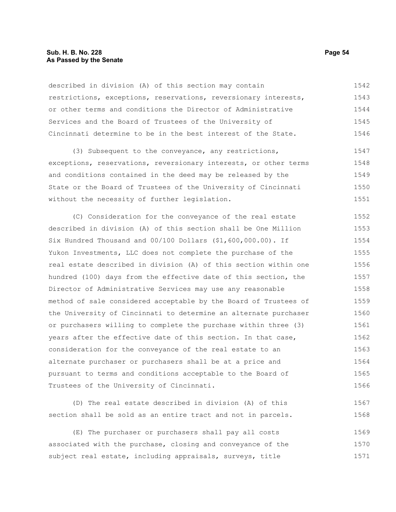#### **Sub. H. B. No. 228 Page 54 As Passed by the Senate**

described in division (A) of this section may contain restrictions, exceptions, reservations, reversionary interests, or other terms and conditions the Director of Administrative Services and the Board of Trustees of the University of Cincinnati determine to be in the best interest of the State. 1542 1543 1544 1545 1546

(3) Subsequent to the conveyance, any restrictions, exceptions, reservations, reversionary interests, or other terms and conditions contained in the deed may be released by the State or the Board of Trustees of the University of Cincinnati without the necessity of further legislation. 1547 1548 1549 1550 1551

(C) Consideration for the conveyance of the real estate described in division (A) of this section shall be One Million Six Hundred Thousand and 00/100 Dollars (\$1,600,000.00). If Yukon Investments, LLC does not complete the purchase of the real estate described in division (A) of this section within one hundred (100) days from the effective date of this section, the Director of Administrative Services may use any reasonable method of sale considered acceptable by the Board of Trustees of the University of Cincinnati to determine an alternate purchaser or purchasers willing to complete the purchase within three (3) years after the effective date of this section. In that case, consideration for the conveyance of the real estate to an alternate purchaser or purchasers shall be at a price and pursuant to terms and conditions acceptable to the Board of Trustees of the University of Cincinnati. 1552 1553 1554 1555 1556 1557 1558 1559 1560 1561 1562 1563 1564 1565 1566

(D) The real estate described in division (A) of this section shall be sold as an entire tract and not in parcels. 1567 1568

(E) The purchaser or purchasers shall pay all costs associated with the purchase, closing and conveyance of the subject real estate, including appraisals, surveys, title 1569 1570 1571